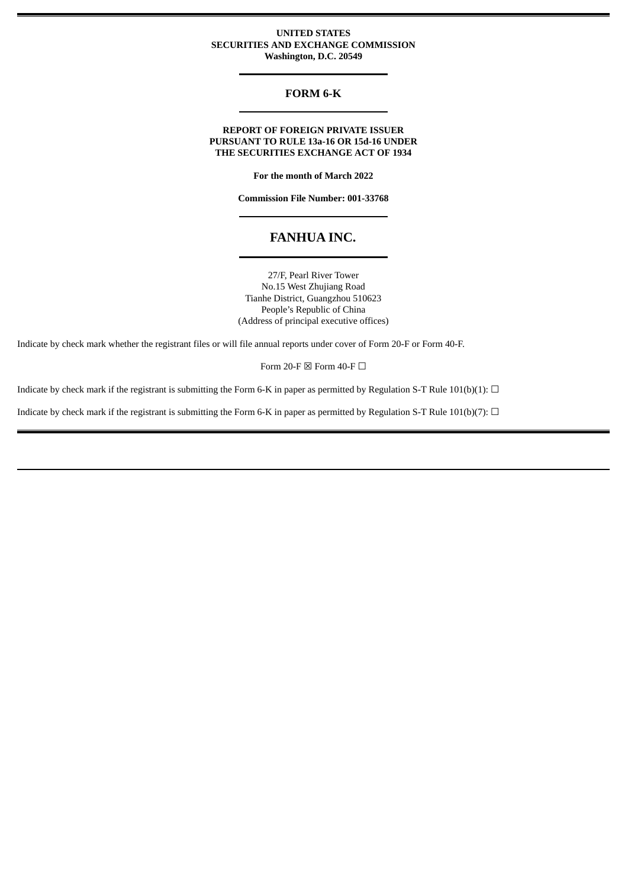## **UNITED STATES SECURITIES AND EXCHANGE COMMISSION Washington, D.C. 20549**

# **FORM 6-K**

## **REPORT OF FOREIGN PRIVATE ISSUER PURSUANT TO RULE 13a-16 OR 15d-16 UNDER THE SECURITIES EXCHANGE ACT OF 1934**

**For the month of March 2022**

**Commission File Number: 001-33768**

# **FANHUA INC.**

27/F, Pearl River Tower No.15 West Zhujiang Road Tianhe District, Guangzhou 510623 People's Republic of China (Address of principal executive offices)

Indicate by check mark whether the registrant files or will file annual reports under cover of Form 20-F or Form 40-F.

Form 20-F  $\boxtimes$  Form 40-F  $\Box$ 

Indicate by check mark if the registrant is submitting the Form 6-K in paper as permitted by Regulation S-T Rule 101(b)(1):  $\Box$ 

Indicate by check mark if the registrant is submitting the Form 6-K in paper as permitted by Regulation S-T Rule 101(b)(7):  $\Box$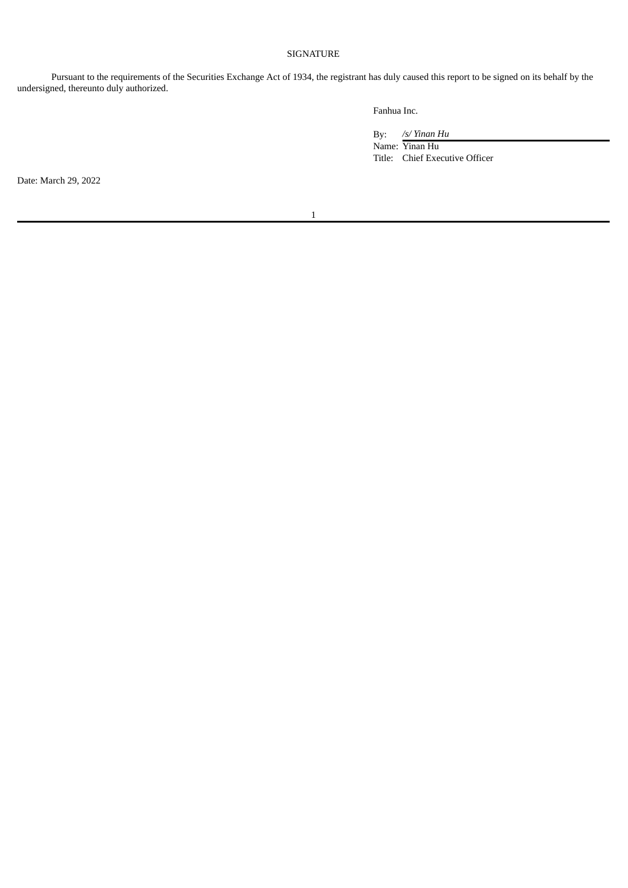# SIGNATURE

Pursuant to the requirements of the Securities Exchange Act of 1934, the registrant has duly caused this report to be signed on its behalf by the undersigned, thereunto duly authorized.

Fanhua Inc.

By: */s/ Yinan Hu*

Name: Yinan Hu Title: Chief Executive Officer

Date: March 29, 2022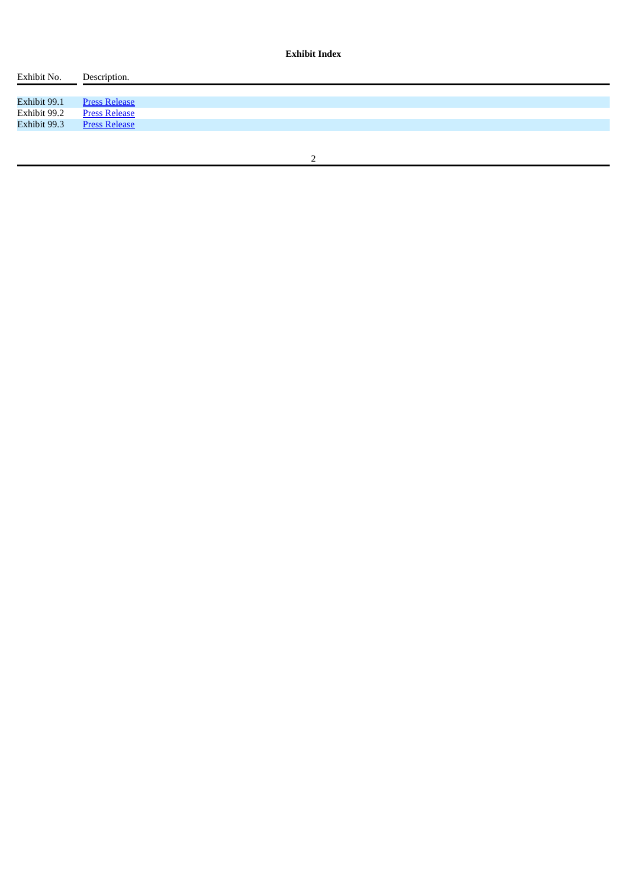**Exhibit Index**

| Exhibit No.  | Description.         |
|--------------|----------------------|
|              |                      |
| Exhibit 99.1 | <b>Press Release</b> |
| Exhibit 99.2 | <b>Press Release</b> |
| Exhibit 99.3 | <b>Press Release</b> |
|              |                      |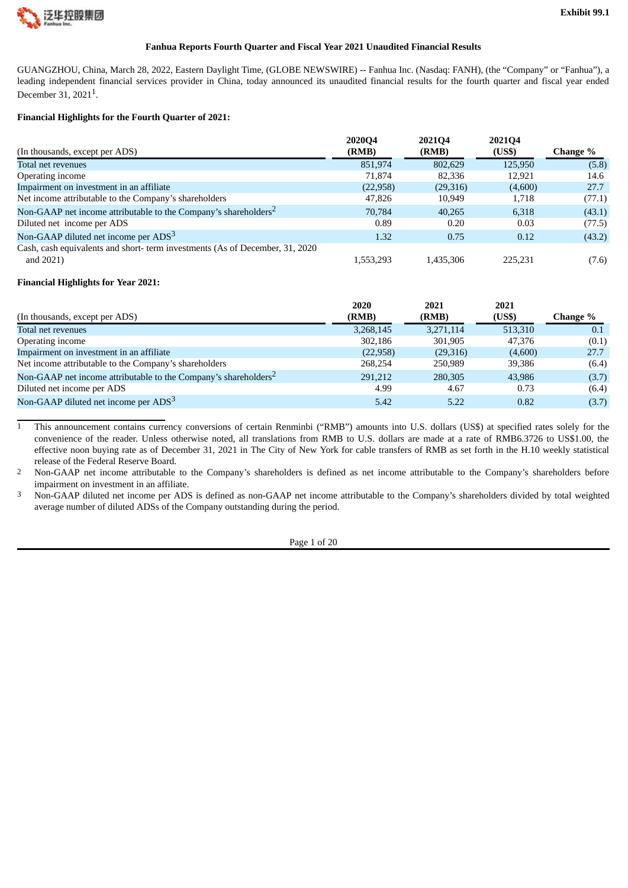<span id="page-3-0"></span>

## **Fanhua Reports Fourth Quarter and Fiscal Year 2021 Unaudited Financial Results**

GUANGZHOU, China, March 28, 2022, Eastern Daylight Time, (GLOBE NEWSWIRE) -- Fanhua Inc. (Nasdaq: FANH), (the "Company" or "Fanhua"), a leading independent financial services provider in China, today announced its unaudited financial results for the fourth quarter and fiscal year ended December 31, 2021 $^1$ .

## **Financial Highlights for the Fourth Quarter of 2021:**

|                                                                              | 2020Q4    | <b>2021Q4</b> | <b>2021Q4</b> |          |
|------------------------------------------------------------------------------|-----------|---------------|---------------|----------|
| (In thousands, except per ADS)                                               | (RMB)     | (RMB)         | (US\$)        | Change % |
| Total net revenues                                                           | 851,974   | 802,629       | 125,950       | (5.8)    |
| Operating income                                                             | 71.874    | 82,336        | 12,921        | 14.6     |
| Impairment on investment in an affiliate                                     | (22, 958) | (29,316)      | (4,600)       | 27.7     |
| Net income attributable to the Company's shareholders                        | 47,826    | 10,949        | 1,718         | (77.1)   |
| Non-GAAP net income attributable to the Company's shareholders <sup>2</sup>  | 70,784    | 40.265        | 6.318         | (43.1)   |
| Diluted net income per ADS                                                   | 0.89      | 0.20          | 0.03          | (77.5)   |
| Non-GAAP diluted net income per ADS <sup>3</sup>                             | 1.32      | 0.75          | 0.12          | (43.2)   |
| Cash, cash equivalents and short-term investments (As of December, 31, 2020) |           |               |               |          |
| and 2021)                                                                    | 1,553,293 | 1.435.306     | 225.231       | (7.6)    |

## **Financial Highlights for Year 2021:**

|                                                                             | 2020      | 2021      | 2021    |          |
|-----------------------------------------------------------------------------|-----------|-----------|---------|----------|
| (In thousands, except per ADS)                                              | (RMB)     | (RMB)     | (US\$)  | Change % |
| Total net revenues                                                          | 3,268,145 | 3,271,114 | 513,310 | 0.1      |
| Operating income                                                            | 302,186   | 301.905   | 47.376  | (0.1)    |
| Impairment on investment in an affiliate                                    | (22,958)  | (29,316)  | (4,600) | 27.7     |
| Net income attributable to the Company's shareholders                       | 268,254   | 250,989   | 39,386  | (6.4)    |
| Non-GAAP net income attributable to the Company's shareholders <sup>2</sup> | 291,212   | 280,305   | 43,986  | (3.7)    |
| Diluted net income per ADS                                                  | 4.99      | 4.67      | 0.73    | (6.4)    |
| Non-GAAP diluted net income per ADS <sup>3</sup>                            | 5.42      | 5.22      | 0.82    | (3.7)    |

<sup>1</sup> This announcement contains currency conversions of certain Renminbi ("RMB") amounts into U.S. dollars (US\$) at specified rates solely for the convenience of the reader. Unless otherwise noted, all translations from RMB to U.S. dollars are made at a rate of RMB6.3726 to US\$1.00, the effective noon buying rate as of December 31, 2021 in The City of New York for cable transfers of RMB as set forth in the H.10 weekly statistical release of the Federal Reserve Board.

2 Non-GAAP net income attributable to the Company's shareholders is defined as net income attributable to the Company's shareholders before impairment on investment in an affiliate.

3 Non-GAAP diluted net income per ADS is defined as non-GAAP net income attributable to the Company's shareholders divided by total weighted average number of diluted ADSs of the Company outstanding during the period.

Page 1 of 20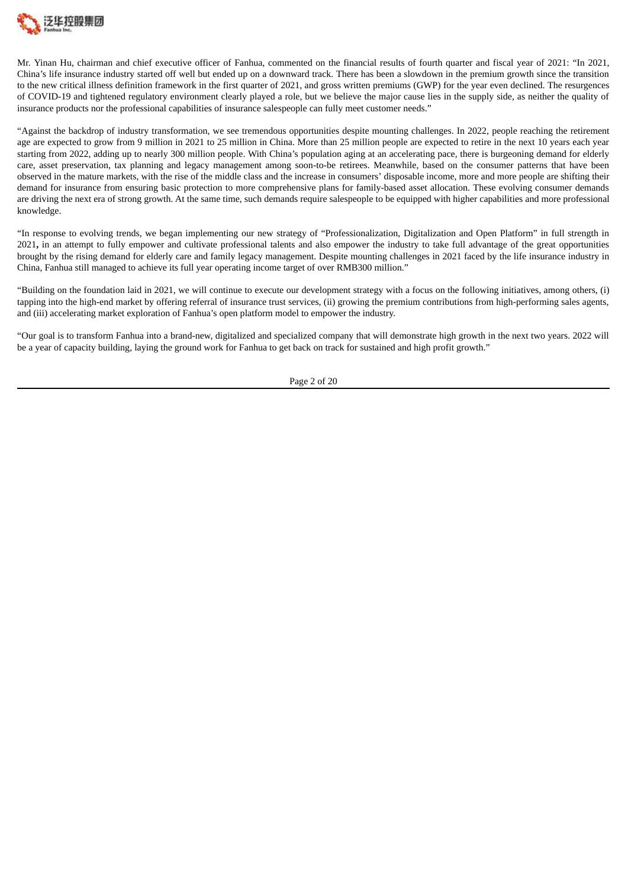

Mr. Yinan Hu, chairman and chief executive officer of Fanhua, commented on the financial results of fourth quarter and fiscal year of 2021: "In 2021, China's life insurance industry started off well but ended up on a downward track. There has been a slowdown in the premium growth since the transition to the new critical illness definition framework in the first quarter of 2021, and gross written premiums (GWP) for the year even declined. The resurgences of COVID-19 and tightened regulatory environment clearly played a role, but we believe the major cause lies in the supply side, as neither the quality of insurance products nor the professional capabilities of insurance salespeople can fully meet customer needs."

"Against the backdrop of industry transformation, we see tremendous opportunities despite mounting challenges. In 2022, people reaching the retirement age are expected to grow from 9 million in 2021 to 25 million in China. More than 25 million people are expected to retire in the next 10 years each year starting from 2022, adding up to nearly 300 million people. With China's population aging at an accelerating pace, there is burgeoning demand for elderly care, asset preservation, tax planning and legacy management among soon-to-be retirees. Meanwhile, based on the consumer patterns that have been observed in the mature markets, with the rise of the middle class and the increase in consumers' disposable income, more and more people are shifting their demand for insurance from ensuring basic protection to more comprehensive plans for family-based asset allocation. These evolving consumer demands are driving the next era of strong growth. At the same time, such demands require salespeople to be equipped with higher capabilities and more professional knowledge.

"In response to evolving trends, we began implementing our new strategy of "Professionalization, Digitalization and Open Platform" in full strength in 2021**,** in an attempt to fully empower and cultivate professional talents and also empower the industry to take full advantage of the great opportunities brought by the rising demand for elderly care and family legacy management. Despite mounting challenges in 2021 faced by the life insurance industry in China, Fanhua still managed to achieve its full year operating income target of over RMB300 million."

"Building on the foundation laid in 2021, we will continue to execute our development strategy with a focus on the following initiatives, among others, (i) tapping into the high-end market by offering referral of insurance trust services, (ii) growing the premium contributions from high-performing sales agents, and (iii) accelerating market exploration of Fanhua's open platform model to empower the industry.

"Our goal is to transform Fanhua into a brand-new, digitalized and specialized company that will demonstrate high growth in the next two years. 2022 will be a year of capacity building, laying the ground work for Fanhua to get back on track for sustained and high profit growth."

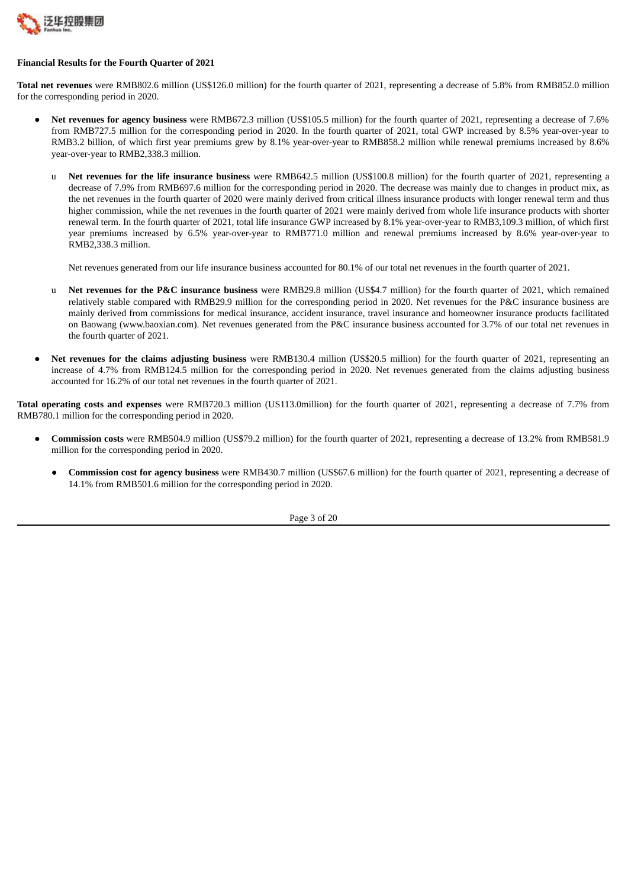

## **Financial Results for the Fourth Quarter of 2021**

**Total net revenues** were RMB802.6 million (US\$126.0 million) for the fourth quarter of 2021, representing a decrease of 5.8% from RMB852.0 million for the corresponding period in 2020.

- **Net revenues for agency business** were RMB672.3 million (US\$105.5 million) for the fourth quarter of 2021, representing a decrease of 7.6% from RMB727.5 million for the corresponding period in 2020. In the fourth quarter of 2021, total GWP increased by 8.5% year-over-year to RMB3.2 billion, of which first year premiums grew by 8.1% year-over-year to RMB858.2 million while renewal premiums increased by 8.6% year-over-year to RMB2,338.3 million.
	- u **Net revenues for the life insurance business** were RMB642.5 million (US\$100.8 million) for the fourth quarter of 2021, representing a decrease of 7.9% from RMB697.6 million for the corresponding period in 2020. The decrease was mainly due to changes in product mix, as the net revenues in the fourth quarter of 2020 were mainly derived from critical illness insurance products with longer renewal term and thus higher commission, while the net revenues in the fourth quarter of 2021 were mainly derived from whole life insurance products with shorter renewal term. In the fourth quarter of 2021, total life insurance GWP increased by 8.1% year-over-year to RMB3,109.3 million, of which first year premiums increased by 6.5% year-over-year to RMB771.0 million and renewal premiums increased by 8.6% year-over-year to RMB2,338.3 million.

Net revenues generated from our life insurance business accounted for 80.1% of our total net revenues in the fourth quarter of 2021.

- u **Net revenues for the P&C insurance business** were RMB29.8 million (US\$4.7 million) for the fourth quarter of 2021, which remained relatively stable compared with RMB29.9 million for the corresponding period in 2020. Net revenues for the P&C insurance business are mainly derived from commissions for medical insurance, accident insurance, travel insurance and homeowner insurance products facilitated on Baowang (www.baoxian.com). Net revenues generated from the P&C insurance business accounted for 3.7% of our total net revenues in the fourth quarter of 2021.
- **Net revenues for the claims adjusting business** were RMB130.4 million (US\$20.5 million) for the fourth quarter of 2021, representing an increase of 4.7% from RMB124.5 million for the corresponding period in 2020. Net revenues generated from the claims adjusting business accounted for 16.2% of our total net revenues in the fourth quarter of 2021.

**Total operating costs and expenses** were RMB720.3 million (US113.0million) for the fourth quarter of 2021, representing a decrease of 7.7% from RMB780.1 million for the corresponding period in 2020.

- **Commission costs** were RMB504.9 million (US\$79.2 million) for the fourth quarter of 2021, representing a decrease of 13.2% from RMB581.9 million for the corresponding period in 2020.
	- **Commission cost for agency business** were RMB430.7 million (US\$67.6 million) for the fourth quarter of 2021, representing a decrease of 14.1% from RMB501.6 million for the corresponding period in 2020.

Page 3 of 20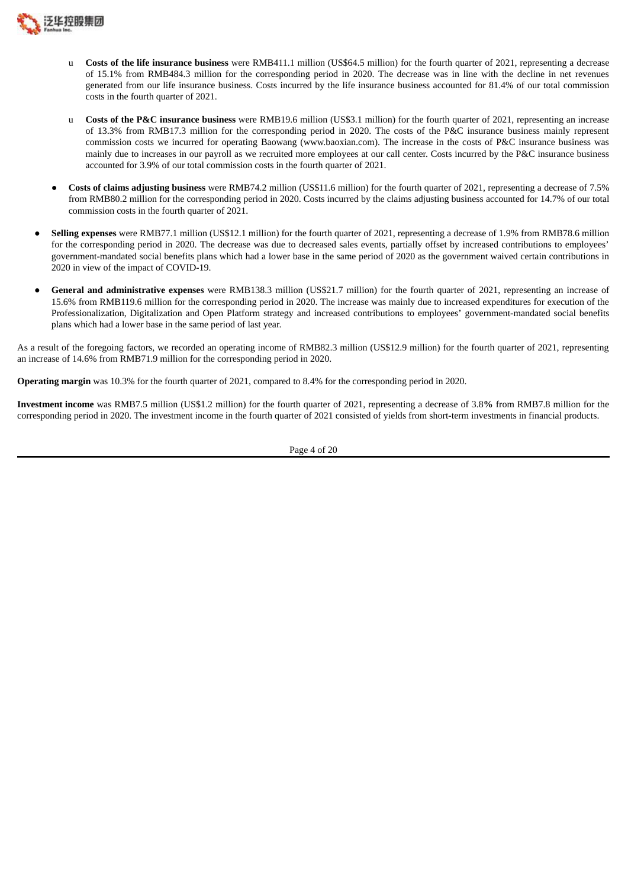

- u **Costs of the life insurance business** were RMB411.1 million (US\$64.5 million) for the fourth quarter of 2021, representing a decrease of 15.1% from RMB484.3 million for the corresponding period in 2020. The decrease was in line with the decline in net revenues generated from our life insurance business. Costs incurred by the life insurance business accounted for 81.4% of our total commission costs in the fourth quarter of 2021.
- u **Costs of the P&C insurance business** were RMB19.6 million (US\$3.1 million) for the fourth quarter of 2021, representing an increase of 13.3% from RMB17.3 million for the corresponding period in 2020. The costs of the P&C insurance business mainly represent commission costs we incurred for operating Baowang (www.baoxian.com). The increase in the costs of P&C insurance business was mainly due to increases in our payroll as we recruited more employees at our call center. Costs incurred by the P&C insurance business accounted for 3.9% of our total commission costs in the fourth quarter of 2021.
- **Costs of claims adjusting business** were RMB74.2 million (US\$11.6 million) for the fourth quarter of 2021, representing a decrease of 7.5% from RMB80.2 million for the corresponding period in 2020. Costs incurred by the claims adjusting business accounted for 14.7% of our total commission costs in the fourth quarter of 2021.
- **Selling expenses** were RMB77.1 million (US\$12.1 million) for the fourth quarter of 2021, representing a decrease of 1.9% from RMB78.6 million for the corresponding period in 2020. The decrease was due to decreased sales events, partially offset by increased contributions to employees' government-mandated social benefits plans which had a lower base in the same period of 2020 as the government waived certain contributions in 2020 in view of the impact of COVID-19.
- **General and administrative expenses** were RMB138.3 million (US\$21.7 million) for the fourth quarter of 2021, representing an increase of 15.6% from RMB119.6 million for the corresponding period in 2020. The increase was mainly due to increased expenditures for execution of the Professionalization, Digitalization and Open Platform strategy and increased contributions to employees' government-mandated social benefits plans which had a lower base in the same period of last year.

As a result of the foregoing factors, we recorded an operating income of RMB82.3 million (US\$12.9 million) for the fourth quarter of 2021, representing an increase of 14.6% from RMB71.9 million for the corresponding period in 2020.

**Operating margin** was 10.3% for the fourth quarter of 2021, compared to 8.4% for the corresponding period in 2020.

**Investment income** was RMB7.5 million (US\$1.2 million) for the fourth quarter of 2021, representing a decrease of 3.8**%** from RMB7.8 million for the corresponding period in 2020. The investment income in the fourth quarter of 2021 consisted of yields from short-term investments in financial products.

Page 4 of 20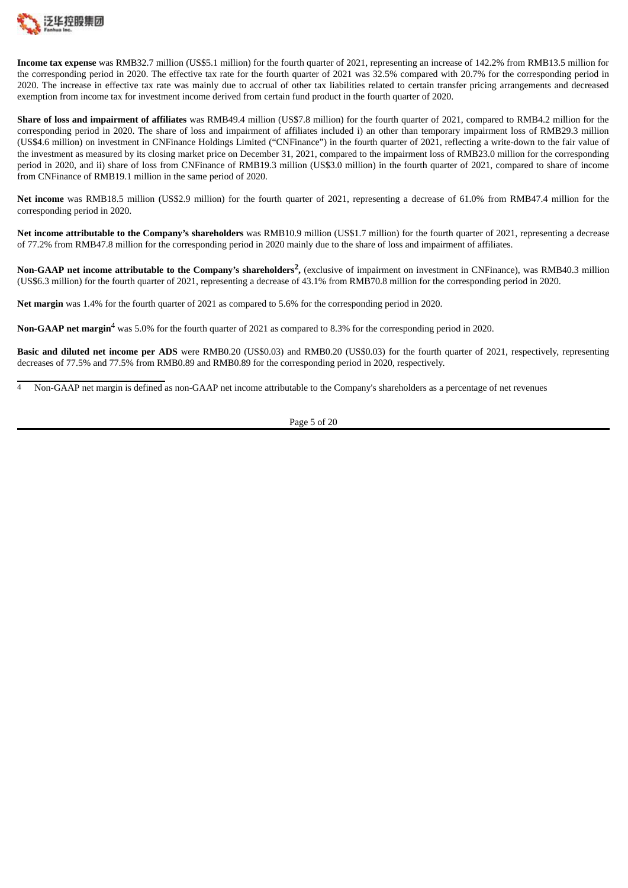

**Income tax expense** was RMB32.7 million (US\$5.1 million) for the fourth quarter of 2021, representing an increase of 142.2% from RMB13.5 million for the corresponding period in 2020. The effective tax rate for the fourth quarter of 2021 was 32.5% compared with 20.7% for the corresponding period in 2020. The increase in effective tax rate was mainly due to accrual of other tax liabilities related to certain transfer pricing arrangements and decreased exemption from income tax for investment income derived from certain fund product in the fourth quarter of 2020.

**Share of loss and impairment of affiliates** was RMB49.4 million (US\$7.8 million) for the fourth quarter of 2021, compared to RMB4.2 million for the corresponding period in 2020. The share of loss and impairment of affiliates included i) an other than temporary impairment loss of RMB29.3 million (US\$4.6 million) on investment in CNFinance Holdings Limited ("CNFinance") in the fourth quarter of 2021, reflecting a write-down to the fair value of the investment as measured by its closing market price on December 31, 2021, compared to the impairment loss of RMB23.0 million for the corresponding period in 2020, and ii) share of loss from CNFinance of RMB19.3 million (US\$3.0 million) in the fourth quarter of 2021, compared to share of income from CNFinance of RMB19.1 million in the same period of 2020.

**Net income** was RMB18.5 million (US\$2.9 million) for the fourth quarter of 2021, representing a decrease of 61.0% from RMB47.4 million for the corresponding period in 2020.

**Net income attributable to the Company's shareholders** was RMB10.9 million (US\$1.7 million) for the fourth quarter of 2021, representing a decrease of 77.2% from RMB47.8 million for the corresponding period in 2020 mainly due to the share of loss and impairment of affiliates.

**Non-GAAP net income attributable to the Company's shareholders 2 ,** (exclusive of impairment on investment in CNFinance), was RMB40.3 million (US\$6.3 million) for the fourth quarter of 2021, representing a decrease of 43.1% from RMB70.8 million for the corresponding period in 2020.

**Net margin** was 1.4% for the fourth quarter of 2021 as compared to 5.6% for the corresponding period in 2020.

**Non-GAAP net margin** <sup>4</sup> was 5.0% for the fourth quarter of 2021 as compared to 8.3% for the corresponding period in 2020.

**Basic and diluted net income per ADS** were RMB0.20 (US\$0.03) and RMB0.20 (US\$0.03) for the fourth quarter of 2021, respectively, representing decreases of 77.5% and 77.5% from RMB0.89 and RMB0.89 for the corresponding period in 2020, respectively.

4 Non-GAAP net margin is defined as non-GAAP net income attributable to the Company's shareholders as a percentage of net revenues

Page 5 of 20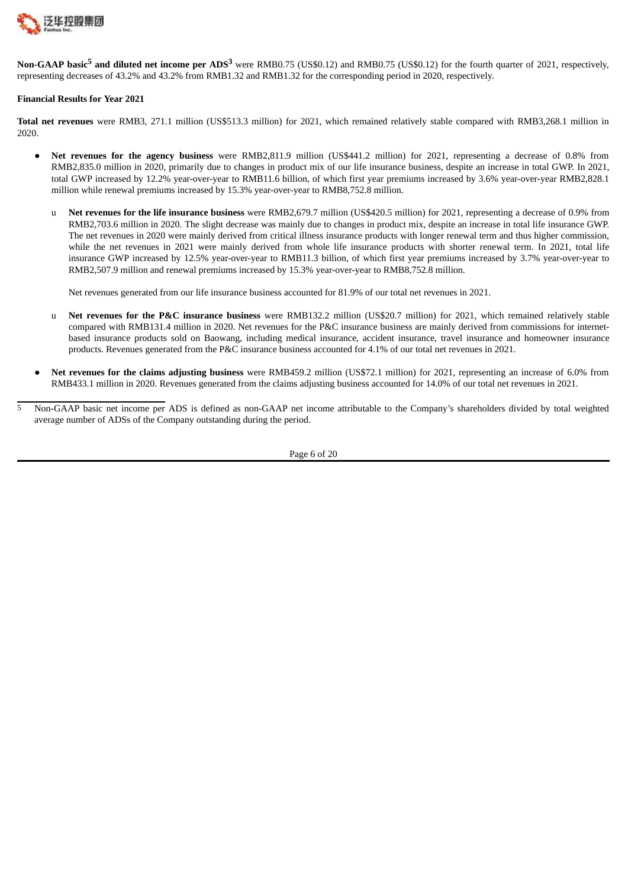

**Non-GAAP basic <sup>5</sup> and diluted net income per ADS <sup>3</sup>** were RMB0.75 (US\$0.12) and RMB0.75 (US\$0.12) for the fourth quarter of 2021, respectively, representing decreases of 43.2% and 43.2% from RMB1.32 and RMB1.32 for the corresponding period in 2020, respectively.

#### **Financial Results for Year 2021**

**Total net revenues** were RMB3, 271.1 million (US\$513.3 million) for 2021, which remained relatively stable compared with RMB3,268.1 million in 2020.

- **Net revenues for the agency business** were RMB2,811.9 million (US\$441.2 million) for 2021, representing a decrease of 0.8% from RMB2,835.0 million in 2020, primarily due to changes in product mix of our life insurance business, despite an increase in total GWP. In 2021, total GWP increased by 12.2% year-over-year to RMB11.6 billion, of which first year premiums increased by 3.6% year-over-year RMB2,828.1 million while renewal premiums increased by 15.3% year-over-year to RMB8,752.8 million.
	- u **Net revenues for the life insurance business** were RMB2,679.7 million (US\$420.5 million) for 2021, representing a decrease of 0.9% from RMB2,703.6 million in 2020. The slight decrease was mainly due to changes in product mix, despite an increase in total life insurance GWP. The net revenues in 2020 were mainly derived from critical illness insurance products with longer renewal term and thus higher commission, while the net revenues in 2021 were mainly derived from whole life insurance products with shorter renewal term. In 2021, total life insurance GWP increased by 12.5% year-over-year to RMB11.3 billion, of which first year premiums increased by 3.7% year-over-year to RMB2,507.9 million and renewal premiums increased by 15.3% year-over-year to RMB8,752.8 million.

Net revenues generated from our life insurance business accounted for 81.9% of our total net revenues in 2021.

- u **Net revenues for the P&C insurance business** were RMB132.2 million (US\$20.7 million) for 2021, which remained relatively stable compared with RMB131.4 million in 2020. Net revenues for the P&C insurance business are mainly derived from commissions for internetbased insurance products sold on Baowang, including medical insurance, accident insurance, travel insurance and homeowner insurance products. Revenues generated from the P&C insurance business accounted for 4.1% of our total net revenues in 2021.
- **Net revenues for the claims adjusting business** were RMB459.2 million (US\$72.1 million) for 2021, representing an increase of 6.0% from RMB433.1 million in 2020. Revenues generated from the claims adjusting business accounted for 14.0% of our total net revenues in 2021.
- 5 Non-GAAP basic net income per ADS is defined as non-GAAP net income attributable to the Company's shareholders divided by total weighted average number of ADSs of the Company outstanding during the period.

Page 6 of 20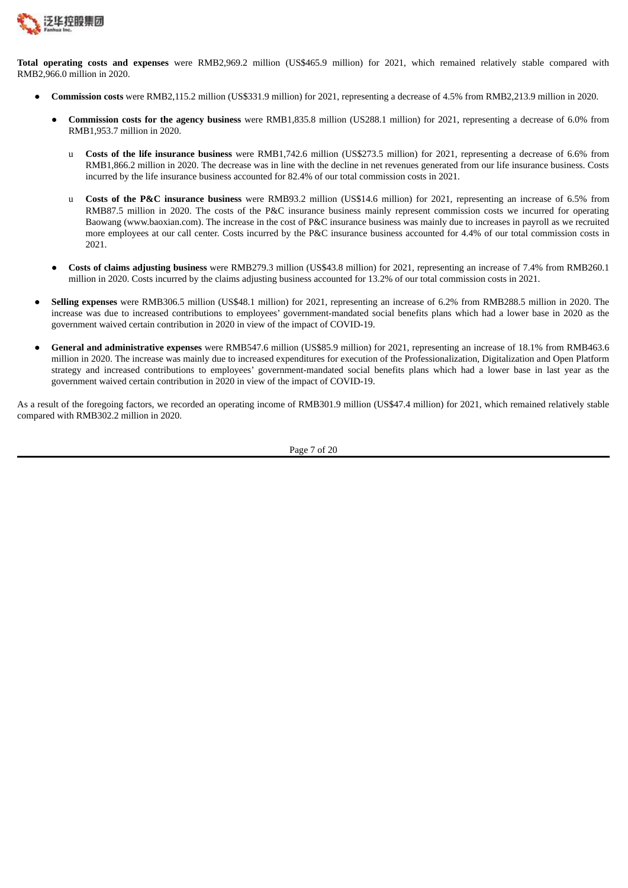

**Total operating costs and expenses** were RMB2,969.2 million (US\$465.9 million) for 2021, which remained relatively stable compared with RMB2,966.0 million in 2020.

- **Commission costs** were RMB2,115.2 million (US\$331.9 million) for 2021, representing a decrease of 4.5% from RMB2,213.9 million in 2020.
	- **Commission costs for the agency business** were RMB1,835.8 million (US288.1 million) for 2021, representing a decrease of 6.0% from RMB1,953.7 million in 2020.
		- u **Costs of the life insurance business** were RMB1,742.6 million (US\$273.5 million) for 2021, representing a decrease of 6.6% from RMB1,866.2 million in 2020. The decrease was in line with the decline in net revenues generated from our life insurance business. Costs incurred by the life insurance business accounted for 82.4% of our total commission costs in 2021.
		- u **Costs of the P&C insurance business** were RMB93.2 million (US\$14.6 million) for 2021, representing an increase of 6.5% from RMB87.5 million in 2020. The costs of the P&C insurance business mainly represent commission costs we incurred for operating Baowang (www.baoxian.com). The increase in the cost of P&C insurance business was mainly due to increases in payroll as we recruited more employees at our call center. Costs incurred by the P&C insurance business accounted for 4.4% of our total commission costs in 2021.
	- **Costs of claims adjusting business** were RMB279.3 million (US\$43.8 million) for 2021, representing an increase of 7.4% from RMB260.1 million in 2020. Costs incurred by the claims adjusting business accounted for 13.2% of our total commission costs in 2021.
- **Selling expenses** were RMB306.5 million (US\$48.1 million) for 2021, representing an increase of 6.2% from RMB288.5 million in 2020. The increase was due to increased contributions to employees' government-mandated social benefits plans which had a lower base in 2020 as the government waived certain contribution in 2020 in view of the impact of COVID-19.
- **General and administrative expenses** were RMB547.6 million (US\$85.9 million) for 2021, representing an increase of 18.1% from RMB463.6 million in 2020. The increase was mainly due to increased expenditures for execution of the Professionalization, Digitalization and Open Platform strategy and increased contributions to employees' government-mandated social benefits plans which had a lower base in last year as the government waived certain contribution in 2020 in view of the impact of COVID-19.

As a result of the foregoing factors, we recorded an operating income of RMB301.9 million (US\$47.4 million) for 2021, which remained relatively stable compared with RMB302.2 million in 2020.

Page 7 of 20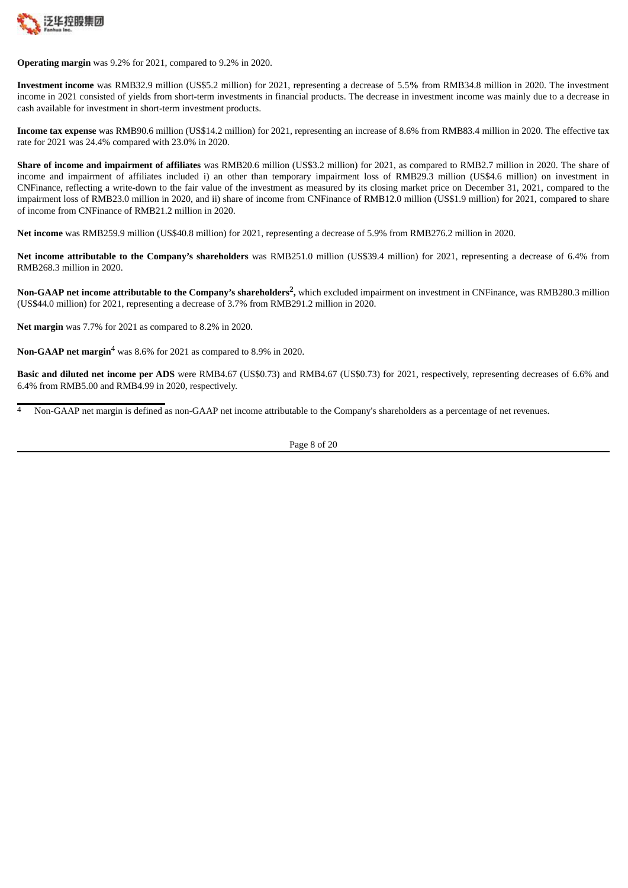

**Operating margin** was 9.2% for 2021, compared to 9.2% in 2020.

**Investment income** was RMB32.9 million (US\$5.2 million) for 2021, representing a decrease of 5.5**%** from RMB34.8 million in 2020. The investment income in 2021 consisted of yields from short-term investments in financial products. The decrease in investment income was mainly due to a decrease in cash available for investment in short-term investment products.

**Income tax expense** was RMB90.6 million (US\$14.2 million) for 2021, representing an increase of 8.6% from RMB83.4 million in 2020. The effective tax rate for 2021 was 24.4% compared with 23.0% in 2020.

**Share of income and impairment of affiliates** was RMB20.6 million (US\$3.2 million) for 2021, as compared to RMB2.7 million in 2020. The share of income and impairment of affiliates included i) an other than temporary impairment loss of RMB29.3 million (US\$4.6 million) on investment in CNFinance, reflecting a write-down to the fair value of the investment as measured by its closing market price on December 31, 2021, compared to the impairment loss of RMB23.0 million in 2020, and ii) share of income from CNFinance of RMB12.0 million (US\$1.9 million) for 2021, compared to share of income from CNFinance of RMB21.2 million in 2020.

**Net income** was RMB259.9 million (US\$40.8 million) for 2021, representing a decrease of 5.9% from RMB276.2 million in 2020.

**Net income attributable to the Company's shareholders** was RMB251.0 million (US\$39.4 million) for 2021, representing a decrease of 6.4% from RMB268.3 million in 2020.

**Non-GAAP net income attributable to the Company's shareholders 2 ,** which excluded impairment on investment in CNFinance, was RMB280.3 million (US\$44.0 million) for 2021, representing a decrease of 3.7% from RMB291.2 million in 2020.

**Net margin** was 7.7% for 2021 as compared to 8.2% in 2020.

**Non-GAAP net margin** <sup>4</sup> was 8.6% for 2021 as compared to 8.9% in 2020.

**Basic and diluted net income per ADS** were RMB4.67 (US\$0.73) and RMB4.67 (US\$0.73) for 2021, respectively, representing decreases of 6.6% and 6.4% from RMB5.00 and RMB4.99 in 2020, respectively.

4 Non-GAAP net margin is defined as non-GAAP net income attributable to the Company's shareholders as a percentage of net revenues.

Page 8 of 20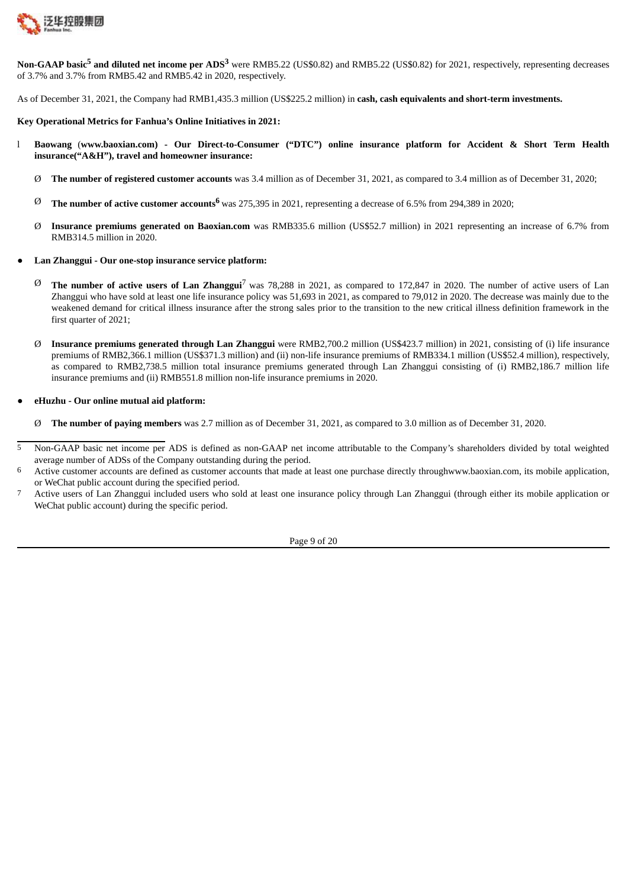

**Non-GAAP basic <sup>5</sup> and diluted net income per ADS <sup>3</sup>** were RMB5.22 (US\$0.82) and RMB5.22 (US\$0.82) for 2021, respectively, representing decreases of 3.7% and 3.7% from RMB5.42 and RMB5.42 in 2020, respectively.

As of December 31, 2021, the Company had RMB1,435.3 million (US\$225.2 million) in **cash, cash equivalents and short-term investments.**

#### **Key Operational Metrics for Fanhua's Online Initiatives in 2021:**

- l **Baowang** (**www.baoxian.com) - Our Direct-to-Consumer ("DTC") online insurance platform for Accident & Short Term Health insurance("A&H"), travel and homeowner insurance:**
	- Ø **The number of registered customer accounts** was 3.4 million as of December 31, 2021, as compared to 3.4 million as of December 31, 2020;
	- Ø **The number of active customer accounts <sup>6</sup>** was 275,395 in 2021, representing a decrease of 6.5% from 294,389 in 2020;
	- Ø **Insurance premiums generated on Baoxian.com** was RMB335.6 million (US\$52.7 million) in 2021 representing an increase of 6.7% from RMB314.5 million in 2020.
- **Lan Zhanggui - Our one-stop insurance service platform:**
	- Ø **The number of active users of Lan Zhanggui** <sup>7</sup> was 78,288 in 2021, as compared to 172,847 in 2020. The number of active users of Lan Zhanggui who have sold at least one life insurance policy was 51,693 in 2021, as compared to 79,012 in 2020. The decrease was mainly due to the weakened demand for critical illness insurance after the strong sales prior to the transition to the new critical illness definition framework in the first quarter of 2021;
	- Ø **Insurance premiums generated through Lan Zhanggui** were RMB2,700.2 million (US\$423.7 million) in 2021, consisting of (i) life insurance premiums of RMB2,366.1 million (US\$371.3 million) and (ii) non-life insurance premiums of RMB334.1 million (US\$52.4 million), respectively, as compared to RMB2,738.5 million total insurance premiums generated through Lan Zhanggui consisting of (i) RMB2,186.7 million life insurance premiums and (ii) RMB551.8 million non-life insurance premiums in 2020.
- **eHuzhu - Our online mutual aid platform:**
	- Ø **The number of paying members** was 2.7 million as of December 31, 2021, as compared to 3.0 million as of December 31, 2020.
- 5 Non-GAAP basic net income per ADS is defined as non-GAAP net income attributable to the Company's shareholders divided by total weighted average number of ADSs of the Company outstanding during the period.
- 6 Active customer accounts are defined as customer accounts that made at least one purchase directly throughwww.baoxian.com, its mobile application, or WeChat public account during the specified period.
- 7 Active users of Lan Zhanggui included users who sold at least one insurance policy through Lan Zhanggui (through either its mobile application or WeChat public account) during the specific period.

Page 9 of 20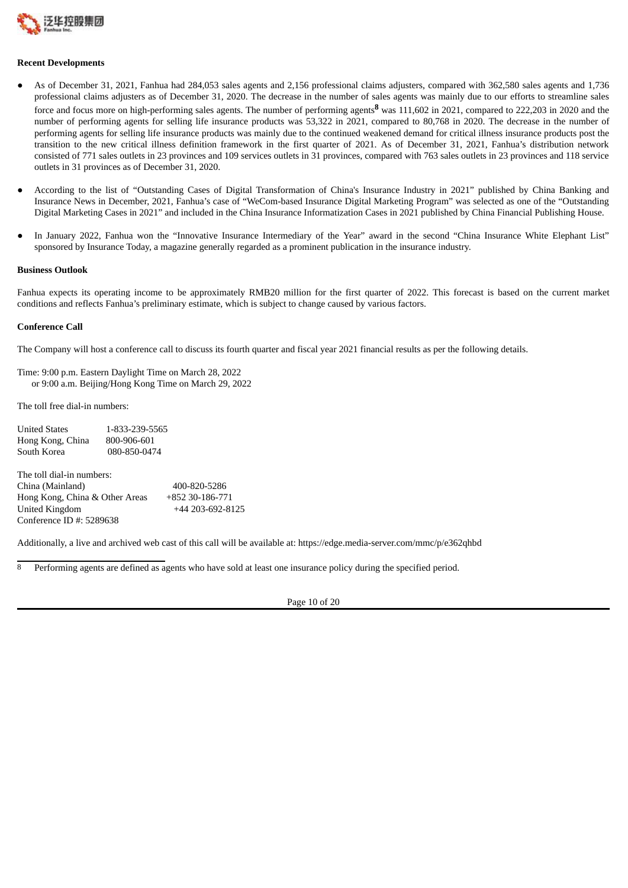

## **Recent Developments**

- As of December 31, 2021, Fanhua had 284,053 sales agents and 2,156 professional claims adjusters, compared with 362,580 sales agents and 1,736 professional claims adjusters as of December 31, 2020. The decrease in the number of sales agents was mainly due to our efforts to streamline sales force and focus more on high-performing sales agents. The number of performing agents **<sup>8</sup>** was 111,602 in 2021, compared to 222,203 in 2020 and the number of performing agents for selling life insurance products was 53,322 in 2021, compared to 80,768 in 2020. The decrease in the number of performing agents for selling life insurance products was mainly due to the continued weakened demand for critical illness insurance products post the transition to the new critical illness definition framework in the first quarter of 2021. As of December 31, 2021, Fanhua's distribution network consisted of 771 sales outlets in 23 provinces and 109 services outlets in 31 provinces, compared with 763 sales outlets in 23 provinces and 118 service outlets in 31 provinces as of December 31, 2020.
- According to the list of "Outstanding Cases of Digital Transformation of China's Insurance Industry in 2021" published by China Banking and Insurance News in December, 2021, Fanhua's case of "WeCom-based Insurance Digital Marketing Program" was selected as one of the "Outstanding Digital Marketing Cases in 2021" and included in the China Insurance Informatization Cases in 2021 published by China Financial Publishing House.
- In January 2022, Fanhua won the "Innovative Insurance Intermediary of the Year" award in the second "China Insurance White Elephant List" sponsored by Insurance Today, a magazine generally regarded as a prominent publication in the insurance industry.

#### **Business Outlook**

Fanhua expects its operating income to be approximately RMB20 million for the first quarter of 2022. This forecast is based on the current market conditions and reflects Fanhua's preliminary estimate, which is subject to change caused by various factors.

#### **Conference Call**

The Company will host a conference call to discuss its fourth quarter and fiscal year 2021 financial results as per the following details.

Time: 9:00 p.m. Eastern Daylight Time on March 28, 2022 or 9:00 a.m. Beijing/Hong Kong Time on March 29, 2022

The toll free dial-in numbers:

United States 1-833-239-5565 Hong Kong, China 800-906-601 South Korea 080-850-0474

| The toll dial-in numbers:      |                   |
|--------------------------------|-------------------|
| China (Mainland)               | 400-820-5286      |
| Hong Kong, China & Other Areas | $+852$ 30-186-771 |
| United Kingdom                 | +44 203-692-8125  |
| Conference ID #: 5289638       |                   |

Additionally, a live and archived web cast of this call will be available at: https://edge.media-server.com/mmc/p/e362qhbd

8 Performing agents are defined as agents who have sold at least one insurance policy during the specified period.

Page 10 of 20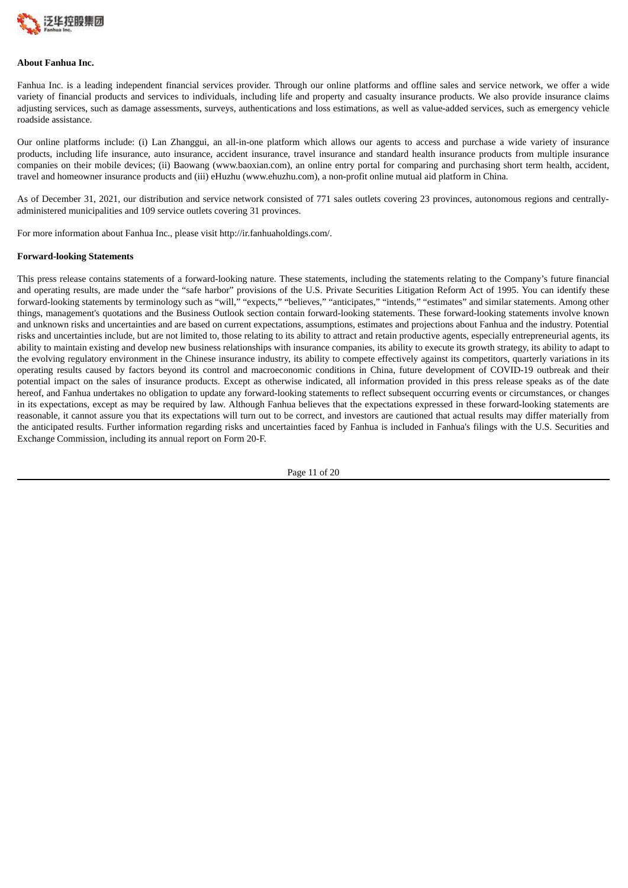

## **About Fanhua Inc.**

Fanhua Inc. is a leading independent financial services provider. Through our online platforms and offline sales and service network, we offer a wide variety of financial products and services to individuals, including life and property and casualty insurance products. We also provide insurance claims adjusting services, such as damage assessments, surveys, authentications and loss estimations, as well as value-added services, such as emergency vehicle roadside assistance.

Our online platforms include: (i) Lan Zhanggui, an all-in-one platform which allows our agents to access and purchase a wide variety of insurance products, including life insurance, auto insurance, accident insurance, travel insurance and standard health insurance products from multiple insurance companies on their mobile devices; (ii) Baowang (www.baoxian.com), an online entry portal for comparing and purchasing short term health, accident, travel and homeowner insurance products and (iii) eHuzhu (www.ehuzhu.com), a non-profit online mutual aid platform in China.

As of December 31, 2021, our distribution and service network consisted of 771 sales outlets covering 23 provinces, autonomous regions and centrallyadministered municipalities and 109 service outlets covering 31 provinces.

For more information about Fanhua Inc., please visit http://ir.fanhuaholdings.com/.

#### **Forward-looking Statements**

This press release contains statements of a forward-looking nature. These statements, including the statements relating to the Company's future financial and operating results, are made under the "safe harbor" provisions of the U.S. Private Securities Litigation Reform Act of 1995. You can identify these forward-looking statements by terminology such as "will," "expects," "believes," "anticipates," "intends," "estimates" and similar statements. Among other things, management's quotations and the Business Outlook section contain forward-looking statements. These forward-looking statements involve known and unknown risks and uncertainties and are based on current expectations, assumptions, estimates and projections about Fanhua and the industry. Potential risks and uncertainties include, but are not limited to, those relating to its ability to attract and retain productive agents, especially entrepreneurial agents, its ability to maintain existing and develop new business relationships with insurance companies, its ability to execute its growth strategy, its ability to adapt to the evolving regulatory environment in the Chinese insurance industry, its ability to compete effectively against its competitors, quarterly variations in its operating results caused by factors beyond its control and macroeconomic conditions in China, future development of COVID-19 outbreak and their potential impact on the sales of insurance products. Except as otherwise indicated, all information provided in this press release speaks as of the date hereof, and Fanhua undertakes no obligation to update any forward-looking statements to reflect subsequent occurring events or circumstances, or changes in its expectations, except as may be required by law. Although Fanhua believes that the expectations expressed in these forward-looking statements are reasonable, it cannot assure you that its expectations will turn out to be correct, and investors are cautioned that actual results may differ materially from the anticipated results. Further information regarding risks and uncertainties faced by Fanhua is included in Fanhua's filings with the U.S. Securities and Exchange Commission, including its annual report on Form 20-F.

Page 11 of 20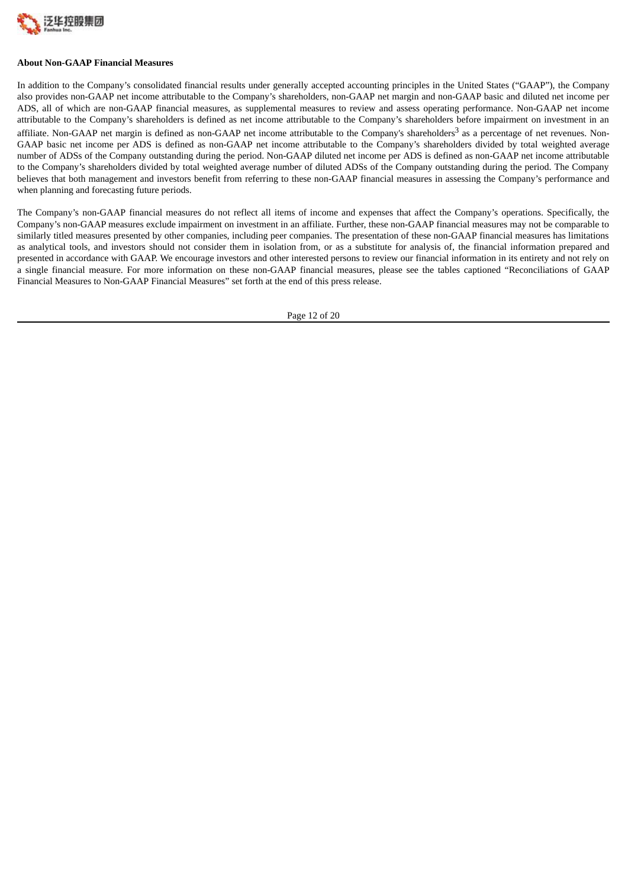

## **About Non-GAAP Financial Measures**

In addition to the Company's consolidated financial results under generally accepted accounting principles in the United States ("GAAP"), the Company also provides non-GAAP net income attributable to the Company's shareholders, non-GAAP net margin and non-GAAP basic and diluted net income per ADS, all of which are non-GAAP financial measures, as supplemental measures to review and assess operating performance. Non-GAAP net income attributable to the Company's shareholders is defined as net income attributable to the Company's shareholders before impairment on investment in an affiliate. Non-GAAP net margin is defined as non-GAAP net income attributable to the Company's shareholders<sup>3</sup> as a percentage of net revenues. Non-GAAP basic net income per ADS is defined as non-GAAP net income attributable to the Company's shareholders divided by total weighted average number of ADSs of the Company outstanding during the period. Non-GAAP diluted net income per ADS is defined as non-GAAP net income attributable to the Company's shareholders divided by total weighted average number of diluted ADSs of the Company outstanding during the period. The Company believes that both management and investors benefit from referring to these non-GAAP financial measures in assessing the Company's performance and when planning and forecasting future periods.

The Company's non-GAAP financial measures do not reflect all items of income and expenses that affect the Company's operations. Specifically, the Company's non-GAAP measures exclude impairment on investment in an affiliate. Further, these non-GAAP financial measures may not be comparable to similarly titled measures presented by other companies, including peer companies. The presentation of these non-GAAP financial measures has limitations as analytical tools, and investors should not consider them in isolation from, or as a substitute for analysis of, the financial information prepared and presented in accordance with GAAP. We encourage investors and other interested persons to review our financial information in its entirety and not rely on a single financial measure. For more information on these non-GAAP financial measures, please see the tables captioned "Reconciliations of GAAP Financial Measures to Non-GAAP Financial Measures" set forth at the end of this press release.

Page 12 of 20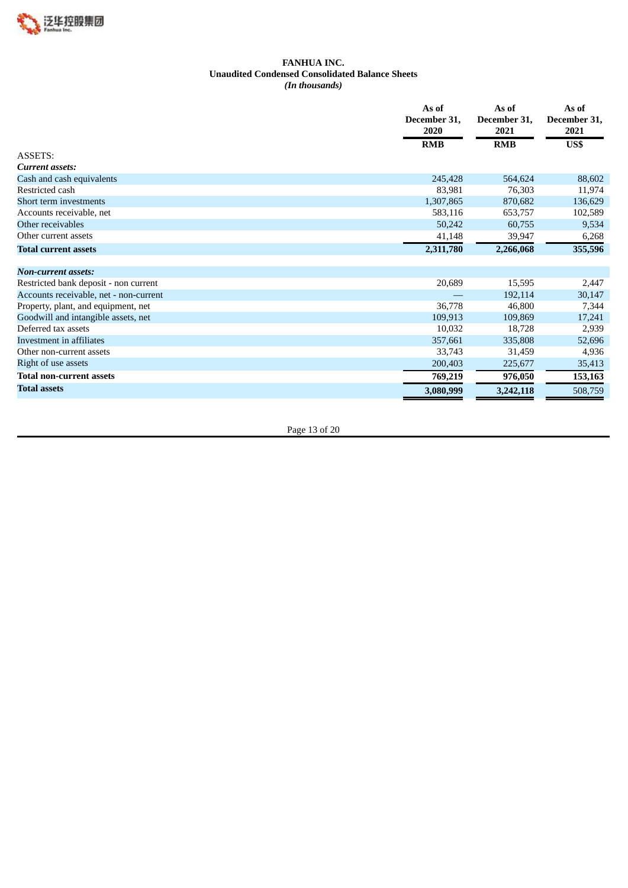

## **FANHUA INC. Unaudited Condensed Consolidated Balance Sheets** *(In thousands)*

|                                        | As of<br>December 31,<br>2020 | As of<br>December 31,<br>2021 | As of<br>December 31,<br>2021 |
|----------------------------------------|-------------------------------|-------------------------------|-------------------------------|
|                                        | <b>RMB</b>                    | <b>RMB</b>                    | US\$                          |
| ASSETS:                                |                               |                               |                               |
| <b>Current assets:</b>                 |                               |                               |                               |
| Cash and cash equivalents              | 245,428                       | 564,624                       | 88,602                        |
| Restricted cash                        | 83,981                        | 76,303                        | 11,974                        |
| Short term investments                 | 1,307,865                     | 870,682                       | 136,629                       |
| Accounts receivable, net               | 583,116                       | 653,757                       | 102,589                       |
| Other receivables                      | 50,242                        | 60,755                        | 9,534                         |
| Other current assets                   | 41,148                        | 39,947                        | 6,268                         |
| <b>Total current assets</b>            | 2,311,780                     | 2,266,068                     | 355,596                       |
| <b>Non-current assets:</b>             |                               |                               |                               |
| Restricted bank deposit - non current  | 20,689                        | 15,595                        | 2,447                         |
| Accounts receivable, net - non-current |                               | 192,114                       | 30,147                        |
| Property, plant, and equipment, net    | 36,778                        | 46,800                        | 7,344                         |
| Goodwill and intangible assets, net    | 109,913                       | 109,869                       | 17,241                        |
| Deferred tax assets                    | 10,032                        | 18,728                        | 2,939                         |
| Investment in affiliates               | 357,661                       | 335,808                       | 52,696                        |
| Other non-current assets               | 33,743                        | 31,459                        | 4,936                         |
| Right of use assets                    | 200,403                       | 225,677                       | 35,413                        |
| <b>Total non-current assets</b>        | 769,219                       | 976,050                       | 153,163                       |
| <b>Total assets</b>                    | 3,080,999                     | 3,242,118                     | 508,759                       |

Page 13 of 20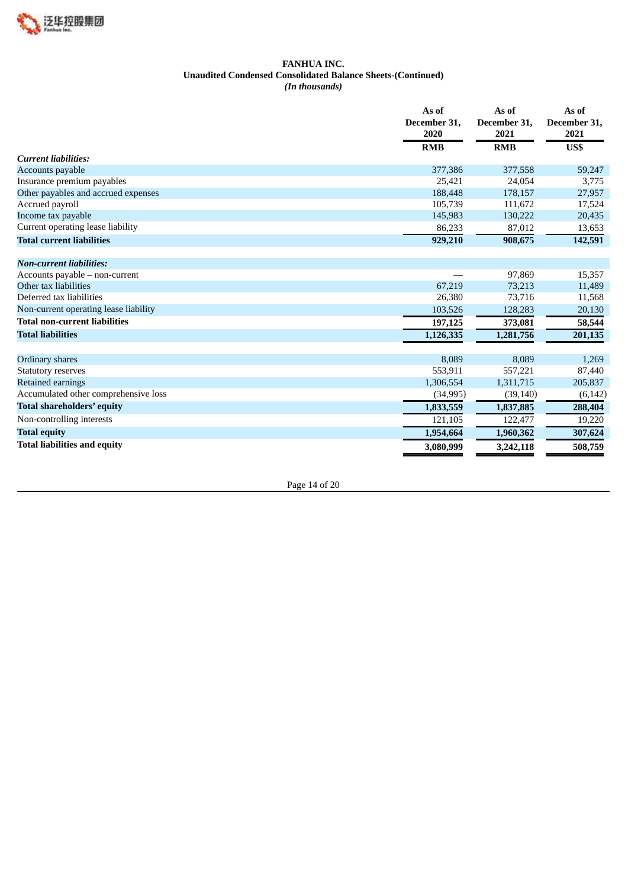

## **FANHUA INC. Unaudited Condensed Consolidated Balance Sheets-(Continued)** *(In thousands)*

|                                       | As of<br>December 31,<br>2020 | As of<br>December 31,<br>2021 | As of<br>December 31,<br>2021 |
|---------------------------------------|-------------------------------|-------------------------------|-------------------------------|
|                                       | <b>RMB</b>                    | <b>RMB</b>                    | US\$                          |
| <b>Current liabilities:</b>           |                               |                               |                               |
| Accounts payable                      | 377,386                       | 377,558                       | 59,247                        |
| Insurance premium payables            | 25,421                        | 24,054                        | 3,775                         |
| Other payables and accrued expenses   | 188,448                       | 178,157                       | 27,957                        |
| Accrued payroll                       | 105,739                       | 111,672                       | 17,524                        |
| Income tax payable                    | 145,983                       | 130,222                       | 20,435                        |
| Current operating lease liability     | 86,233                        | 87,012                        | 13,653                        |
| <b>Total current liabilities</b>      | 929,210                       | 908,675                       | 142,591                       |
| <b>Non-current liabilities:</b>       |                               |                               |                               |
| Accounts payable – non-current        |                               | 97,869                        | 15,357                        |
| Other tax liabilities                 | 67,219                        | 73,213                        | 11,489                        |
| Deferred tax liabilities              | 26,380                        | 73,716                        | 11,568                        |
| Non-current operating lease liability | 103,526                       | 128,283                       | 20,130                        |
| <b>Total non-current liabilities</b>  | 197,125                       | 373,081                       | 58,544                        |
| <b>Total liabilities</b>              | 1,126,335                     | 1,281,756                     | 201,135                       |
| Ordinary shares                       | 8,089                         | 8,089                         | 1,269                         |
| <b>Statutory reserves</b>             | 553,911                       | 557,221                       | 87,440                        |
| Retained earnings                     | 1,306,554                     | 1,311,715                     | 205,837                       |
| Accumulated other comprehensive loss  | (34,995)                      | (39, 140)                     | (6, 142)                      |
| <b>Total shareholders' equity</b>     | 1,833,559                     | 1,837,885                     | 288,404                       |
| Non-controlling interests             | 121,105                       | 122,477                       | 19,220                        |
| <b>Total equity</b>                   | 1,954,664                     | 1,960,362                     | 307,624                       |
| <b>Total liabilities and equity</b>   | 3,080,999                     | 3,242,118                     | 508,759                       |

Page 14 of 20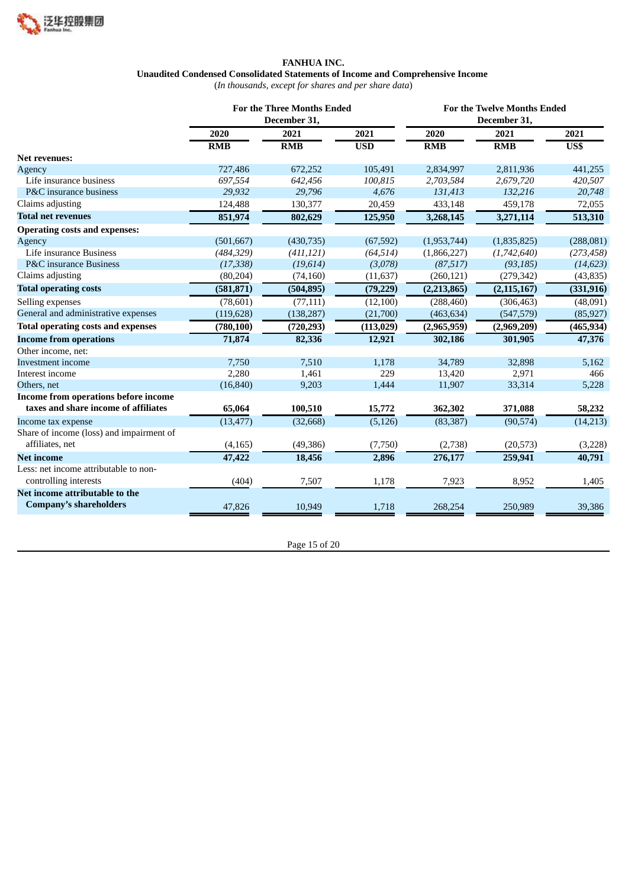

# **FANHUA INC. Unaudited Condensed Consolidated Statements of Income and Comprehensive Income**

(*In thousands, except for shares and per share data*)

|                                                                |            | <b>For the Three Months Ended</b> |            | <b>For the Twelve Months Ended</b><br>December 31, |               |            |  |
|----------------------------------------------------------------|------------|-----------------------------------|------------|----------------------------------------------------|---------------|------------|--|
|                                                                |            | December 31,                      |            |                                                    |               |            |  |
|                                                                | 2020       | 2021                              | 2021       | 2020                                               | 2021          | 2021       |  |
|                                                                | <b>RMB</b> | <b>RMB</b>                        | <b>USD</b> | <b>RMB</b>                                         | <b>RMB</b>    | US\$       |  |
| Net revenues:                                                  |            |                                   |            |                                                    |               |            |  |
| Agency                                                         | 727,486    | 672,252                           | 105,491    | 2,834,997                                          | 2,811,936     | 441,255    |  |
| Life insurance business                                        | 697,554    | 642,456                           | 100,815    | 2,703,584                                          | 2,679,720     | 420,507    |  |
| P&C insurance business                                         | 29,932     | 29,796                            | 4,676      | 131,413                                            | 132,216       | 20,748     |  |
| Claims adjusting                                               | 124,488    | 130,377                           | 20,459     | 433,148                                            | 459,178       | 72,055     |  |
| <b>Total net revenues</b>                                      | 851,974    | 802,629                           | 125,950    | 3,268,145                                          | 3,271,114     | 513,310    |  |
| <b>Operating costs and expenses:</b>                           |            |                                   |            |                                                    |               |            |  |
| Agency                                                         | (501, 667) | (430, 735)                        | (67, 592)  | (1,953,744)                                        | (1,835,825)   | (288,081)  |  |
| Life insurance Business                                        | (484, 329) | (411, 121)                        | (64, 514)  | (1,866,227)                                        | (1,742,640)   | (273, 458) |  |
| P&C insurance Business                                         | (17, 338)  | (19,614)                          | (3,078)    | (87,517)                                           | (93, 185)     | (14, 623)  |  |
| Claims adjusting                                               | (80, 204)  | (74, 160)                         | (11, 637)  | (260, 121)                                         | (279, 342)    | (43, 835)  |  |
| <b>Total operating costs</b>                                   | (581, 871) | (504, 895)                        | (79, 229)  | (2,213,865)                                        | (2, 115, 167) | (331, 916) |  |
| Selling expenses                                               | (78, 601)  | (77, 111)                         | (12, 100)  | (288, 460)                                         | (306, 463)    | (48,091)   |  |
| General and administrative expenses                            | (119, 628) | (138, 287)                        | (21,700)   | (463, 634)                                         | (547, 579)    | (85, 927)  |  |
| <b>Total operating costs and expenses</b>                      | (780, 100) | (720, 293)                        | (113, 029) | (2,965,959)                                        | (2,969,209)   | (465, 934) |  |
| <b>Income from operations</b>                                  | 71,874     | 82,336                            | 12,921     | 302,186                                            | 301,905       | 47,376     |  |
| Other income, net:                                             |            |                                   |            |                                                    |               |            |  |
| <b>Investment</b> income                                       | 7,750      | 7,510                             | 1,178      | 34,789                                             | 32,898        | 5,162      |  |
| Interest income                                                | 2,280      | 1,461                             | 229        | 13,420                                             | 2,971         | 466        |  |
| Others, net                                                    | (16, 840)  | 9,203                             | 1,444      | 11,907                                             | 33,314        | 5,228      |  |
| Income from operations before income                           |            |                                   |            |                                                    |               |            |  |
| taxes and share income of affiliates                           | 65,064     | 100,510                           | 15,772     | 362,302                                            | 371,088       | 58,232     |  |
| Income tax expense                                             | (13, 477)  | (32, 668)                         | (5, 126)   | (83, 387)                                          | (90, 574)     | (14,213)   |  |
| Share of income (loss) and impairment of                       |            |                                   |            |                                                    |               |            |  |
| affiliates, net                                                | (4, 165)   | (49, 386)                         | (7,750)    | (2,738)                                            | (20, 573)     | (3,228)    |  |
| <b>Net income</b>                                              | 47,422     | 18,456                            | 2,896      | 276,177                                            | 259,941       | 40,791     |  |
| Less: net income attributable to non-<br>controlling interests | (404)      | 7,507                             | 1,178      | 7,923                                              | 8,952         | 1,405      |  |
| Net income attributable to the                                 |            |                                   |            |                                                    |               |            |  |
| <b>Company's shareholders</b>                                  | 47,826     | 10,949                            | 1,718      | 268,254                                            | 250,989       | 39,386     |  |

Page 15 of 20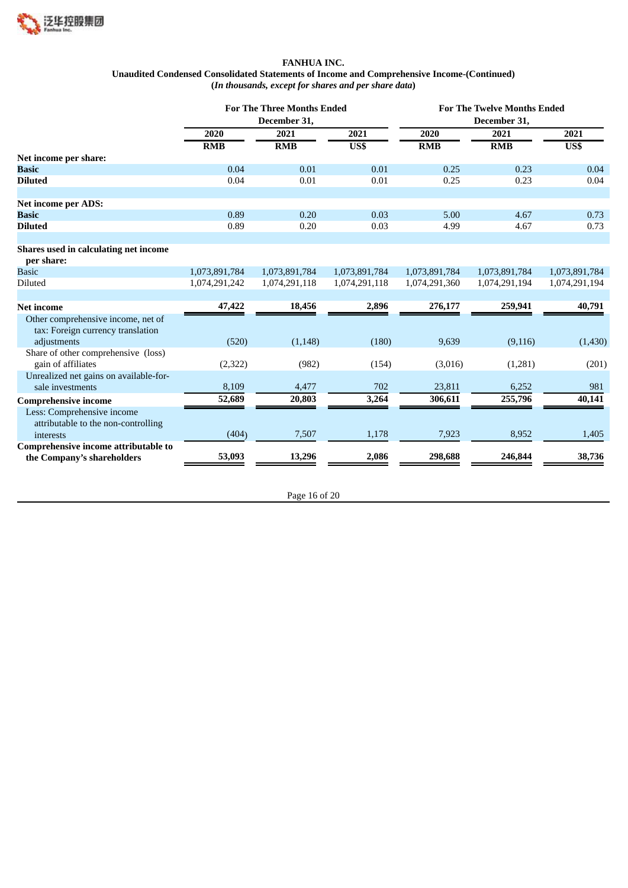

## **FANHUA INC. Unaudited Condensed Consolidated Statements of Income and Comprehensive Income-(Continued) (***In thousands, except for shares and per share data***)**

|                                                                         | <b>For The Three Months Ended</b> |               |               | <b>For The Twelve Months Ended</b> |               |               |  |
|-------------------------------------------------------------------------|-----------------------------------|---------------|---------------|------------------------------------|---------------|---------------|--|
|                                                                         |                                   | December 31,  |               |                                    | December 31,  |               |  |
|                                                                         | 2020                              | 2021          | 2021          | 2020                               | 2021          | 2021          |  |
|                                                                         | <b>RMB</b>                        | <b>RMB</b>    | US\$          | <b>RMB</b>                         | <b>RMB</b>    | US\$          |  |
| Net income per share:                                                   |                                   |               |               |                                    |               |               |  |
| <b>Basic</b>                                                            | 0.04                              | 0.01          | 0.01          | 0.25                               | 0.23          | 0.04          |  |
| <b>Diluted</b>                                                          | 0.04                              | 0.01          | 0.01          | 0.25                               | 0.23          | 0.04          |  |
| Net income per ADS:                                                     |                                   |               |               |                                    |               |               |  |
| <b>Basic</b>                                                            | 0.89                              | 0.20          | 0.03          | 5.00                               | 4.67          | 0.73          |  |
| <b>Diluted</b>                                                          | 0.89                              | 0.20          | 0.03          | 4.99                               | 4.67          | 0.73          |  |
| Shares used in calculating net income<br>per share:                     |                                   |               |               |                                    |               |               |  |
| <b>Basic</b>                                                            | 1,073,891,784                     | 1,073,891,784 | 1,073,891,784 | 1,073,891,784                      | 1,073,891,784 | 1,073,891,784 |  |
| Diluted                                                                 | 1,074,291,242                     | 1,074,291,118 | 1,074,291,118 | 1,074,291,360                      | 1,074,291,194 | 1,074,291,194 |  |
| <b>Net income</b>                                                       | 47,422                            | 18,456        | 2,896         | 276,177                            | 259,941       | 40,791        |  |
| Other comprehensive income, net of<br>tax: Foreign currency translation |                                   |               |               |                                    |               |               |  |
| adjustments                                                             | (520)                             | (1, 148)      | (180)         | 9,639                              | (9, 116)      | (1,430)       |  |
| Share of other comprehensive (loss)<br>gain of affiliates               | (2, 322)                          | (982)         | (154)         | (3,016)                            | (1,281)       | (201)         |  |
| Unrealized net gains on available-for-<br>sale investments              | 8,109                             | 4,477         | 702           | 23,811                             | 6,252         | 981           |  |
| <b>Comprehensive income</b>                                             | 52,689                            | 20,803        | 3,264         | 306,611                            | 255,796       | 40,141        |  |
| Less: Comprehensive income<br>attributable to the non-controlling       |                                   |               |               |                                    |               |               |  |
| interests                                                               | (404)                             | 7,507         | 1,178         | 7,923                              | 8,952         | 1,405         |  |
| Comprehensive income attributable to<br>the Company's shareholders      | 53,093                            | 13,296        | 2,086         | 298,688                            | 246,844       | 38,736        |  |

Page 16 of 20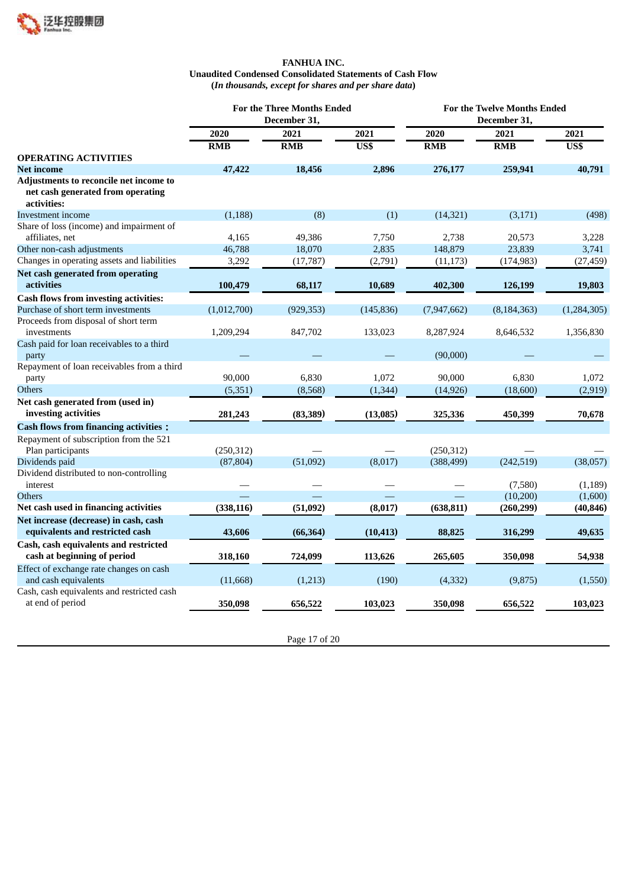

## **FANHUA INC. Unaudited Condensed Consolidated Statements of Cash Flow (***In thousands, except for shares and per share data***)**

| 2020<br>2021<br>2020<br>2021<br>RMB<br>US\$<br><b>RMB</b><br><b>RMB</b><br><b>OPERATING ACTIVITIES</b><br>2,896<br><b>Net income</b><br>47,422<br>18,456<br>276,177<br>Adjustments to reconcile net income to<br>net cash generated from operating<br>activities:<br>Investment income<br>(1, 188)<br>(8)<br>(14, 321)<br>(1)<br>Share of loss (income) and impairment of<br>affiliates, net<br>4,165<br>49,386<br>7,750<br>2,738<br>Other non-cash adjustments<br>46,788<br>18,070<br>2,835<br>148,879<br>Changes in operating assets and liabilities<br>3,292<br>(17, 787)<br>(2,791)<br>(11, 173)<br>Net cash generated from operating<br><b>activities</b><br>100,479<br>68,117<br>10,689<br>402,300 |               |             |
|----------------------------------------------------------------------------------------------------------------------------------------------------------------------------------------------------------------------------------------------------------------------------------------------------------------------------------------------------------------------------------------------------------------------------------------------------------------------------------------------------------------------------------------------------------------------------------------------------------------------------------------------------------------------------------------------------------|---------------|-------------|
|                                                                                                                                                                                                                                                                                                                                                                                                                                                                                                                                                                                                                                                                                                          | 2021          | 2021        |
|                                                                                                                                                                                                                                                                                                                                                                                                                                                                                                                                                                                                                                                                                                          | <b>RMB</b>    | US\$        |
|                                                                                                                                                                                                                                                                                                                                                                                                                                                                                                                                                                                                                                                                                                          |               |             |
|                                                                                                                                                                                                                                                                                                                                                                                                                                                                                                                                                                                                                                                                                                          | 259,941       | 40,791      |
|                                                                                                                                                                                                                                                                                                                                                                                                                                                                                                                                                                                                                                                                                                          |               |             |
|                                                                                                                                                                                                                                                                                                                                                                                                                                                                                                                                                                                                                                                                                                          | (3,171)       | (498)       |
|                                                                                                                                                                                                                                                                                                                                                                                                                                                                                                                                                                                                                                                                                                          |               |             |
|                                                                                                                                                                                                                                                                                                                                                                                                                                                                                                                                                                                                                                                                                                          | 20,573        | 3,228       |
|                                                                                                                                                                                                                                                                                                                                                                                                                                                                                                                                                                                                                                                                                                          | 23,839        | 3,741       |
|                                                                                                                                                                                                                                                                                                                                                                                                                                                                                                                                                                                                                                                                                                          | (174, 983)    | (27, 459)   |
|                                                                                                                                                                                                                                                                                                                                                                                                                                                                                                                                                                                                                                                                                                          |               |             |
|                                                                                                                                                                                                                                                                                                                                                                                                                                                                                                                                                                                                                                                                                                          | 126,199       | 19,803      |
| <b>Cash flows from investing activities:</b>                                                                                                                                                                                                                                                                                                                                                                                                                                                                                                                                                                                                                                                             |               |             |
| Purchase of short term investments<br>(145, 836)<br>(1,012,700)<br>(929, 353)<br>(7,947,662)                                                                                                                                                                                                                                                                                                                                                                                                                                                                                                                                                                                                             | (8, 184, 363) | (1,284,305) |
| Proceeds from disposal of short term                                                                                                                                                                                                                                                                                                                                                                                                                                                                                                                                                                                                                                                                     |               |             |
| 847,702<br>133,023<br>investments<br>1,209,294<br>8,287,924                                                                                                                                                                                                                                                                                                                                                                                                                                                                                                                                                                                                                                              | 8,646,532     | 1,356,830   |
| Cash paid for loan receivables to a third<br>(90,000)<br>party                                                                                                                                                                                                                                                                                                                                                                                                                                                                                                                                                                                                                                           |               |             |
| Repayment of loan receivables from a third                                                                                                                                                                                                                                                                                                                                                                                                                                                                                                                                                                                                                                                               |               |             |
| 90,000<br>6,830<br>1,072<br>90,000<br>party                                                                                                                                                                                                                                                                                                                                                                                                                                                                                                                                                                                                                                                              | 6,830         | 1,072       |
| <b>Others</b><br>(5, 351)<br>(8,568)<br>(1, 344)<br>(14, 926)                                                                                                                                                                                                                                                                                                                                                                                                                                                                                                                                                                                                                                            | (18,600)      | (2,919)     |
| Net cash generated from (used in)                                                                                                                                                                                                                                                                                                                                                                                                                                                                                                                                                                                                                                                                        |               |             |
| investing activities<br>281,243<br>(83, 389)<br>(13,085)<br>325,336                                                                                                                                                                                                                                                                                                                                                                                                                                                                                                                                                                                                                                      | 450,399       | 70,678      |
| <b>Cash flows from financing activities:</b>                                                                                                                                                                                                                                                                                                                                                                                                                                                                                                                                                                                                                                                             |               |             |
| Repayment of subscription from the 521                                                                                                                                                                                                                                                                                                                                                                                                                                                                                                                                                                                                                                                                   |               |             |
| Plan participants<br>(250, 312)<br>(250, 312)                                                                                                                                                                                                                                                                                                                                                                                                                                                                                                                                                                                                                                                            |               |             |
| Dividends paid<br>(87, 804)<br>(51,092)<br>(8,017)<br>(388, 499)                                                                                                                                                                                                                                                                                                                                                                                                                                                                                                                                                                                                                                         | (242, 519)    | (38,057)    |
| Dividend distributed to non-controlling                                                                                                                                                                                                                                                                                                                                                                                                                                                                                                                                                                                                                                                                  |               |             |
| interest                                                                                                                                                                                                                                                                                                                                                                                                                                                                                                                                                                                                                                                                                                 | (7,580)       | (1, 189)    |
| <b>Others</b>                                                                                                                                                                                                                                                                                                                                                                                                                                                                                                                                                                                                                                                                                            | (10,200)      | (1,600)     |
| Net cash used in financing activities<br>(338, 116)<br>(51,092)<br>(8,017)<br>(638, 811)                                                                                                                                                                                                                                                                                                                                                                                                                                                                                                                                                                                                                 | (260, 299)    | (40, 846)   |
| Net increase (decrease) in cash, cash                                                                                                                                                                                                                                                                                                                                                                                                                                                                                                                                                                                                                                                                    |               |             |
| equivalents and restricted cash<br>43,606<br>(66, 364)<br>(10, 413)<br>88,825                                                                                                                                                                                                                                                                                                                                                                                                                                                                                                                                                                                                                            | 316,299       | 49,635      |
| Cash, cash equivalents and restricted                                                                                                                                                                                                                                                                                                                                                                                                                                                                                                                                                                                                                                                                    |               |             |
| cash at beginning of period<br>318,160<br>724,099<br>113,626<br>265,605                                                                                                                                                                                                                                                                                                                                                                                                                                                                                                                                                                                                                                  | 350,098       | 54,938      |
| Effect of exchange rate changes on cash                                                                                                                                                                                                                                                                                                                                                                                                                                                                                                                                                                                                                                                                  |               |             |
| and cash equivalents<br>(11, 668)<br>(1,213)<br>(190)<br>(4, 332)                                                                                                                                                                                                                                                                                                                                                                                                                                                                                                                                                                                                                                        | (9,875)       | (1,550)     |
| Cash, cash equivalents and restricted cash                                                                                                                                                                                                                                                                                                                                                                                                                                                                                                                                                                                                                                                               |               |             |
| at end of period<br>350,098<br>656,522<br>103,023<br>350,098                                                                                                                                                                                                                                                                                                                                                                                                                                                                                                                                                                                                                                             | 656,522       | 103,023     |

Page 17 of 20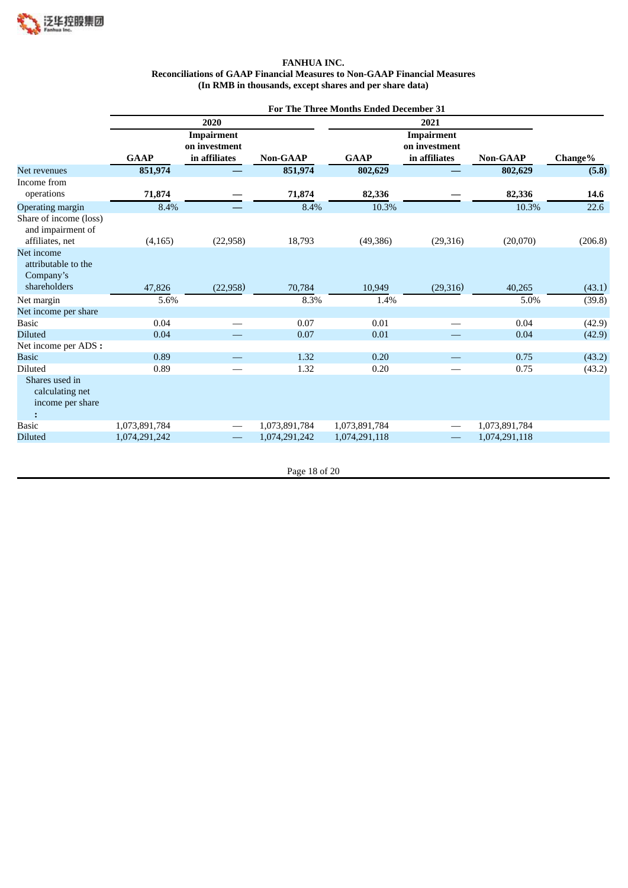

# **FANHUA INC. Reconciliations of GAAP Financial Measures to Non-GAAP Financial Measures (In RMB in thousands, except shares and per share data)**

|                                                                         |               | For The Three Months Ended December 31       |                 |               |                                              |                 |         |  |  |
|-------------------------------------------------------------------------|---------------|----------------------------------------------|-----------------|---------------|----------------------------------------------|-----------------|---------|--|--|
|                                                                         |               | 2020                                         |                 |               | 2021                                         |                 |         |  |  |
|                                                                         | <b>GAAP</b>   | Impairment<br>on investment<br>in affiliates | <b>Non-GAAP</b> | <b>GAAP</b>   | Impairment<br>on investment<br>in affiliates | <b>Non-GAAP</b> | Change% |  |  |
| Net revenues                                                            | 851,974       |                                              | 851,974         | 802,629       |                                              | 802,629         | (5.8)   |  |  |
| Income from<br>operations                                               | 71,874        |                                              | 71,874          | 82,336        |                                              | 82,336          | 14.6    |  |  |
| Operating margin                                                        | 8.4%          |                                              | 8.4%            | 10.3%         |                                              | 10.3%           | 22.6    |  |  |
| Share of income (loss)<br>and impairment of<br>affiliates, net          | (4, 165)      | (22, 958)                                    | 18,793          | (49, 386)     | (29,316)                                     | (20,070)        | (206.8) |  |  |
| Net income<br>attributable to the<br>Company's                          |               |                                              |                 |               |                                              |                 |         |  |  |
| shareholders                                                            | 47,826        | (22, 958)                                    | 70,784          | 10,949        | (29,316)                                     | 40,265          | (43.1)  |  |  |
| Net margin                                                              | 5.6%          |                                              | 8.3%            | 1.4%          |                                              | 5.0%            | (39.8)  |  |  |
| Net income per share                                                    |               |                                              |                 |               |                                              |                 |         |  |  |
| <b>Basic</b>                                                            | 0.04          |                                              | 0.07            | 0.01          |                                              | 0.04            | (42.9)  |  |  |
| <b>Diluted</b>                                                          | 0.04          |                                              | 0.07            | 0.01          |                                              | 0.04            | (42.9)  |  |  |
| Net income per ADS :                                                    |               |                                              |                 |               |                                              |                 |         |  |  |
| <b>Basic</b>                                                            | 0.89          |                                              | 1.32            | 0.20          |                                              | 0.75            | (43.2)  |  |  |
| <b>Diluted</b>                                                          | 0.89          |                                              | 1.32            | 0.20          |                                              | 0.75            | (43.2)  |  |  |
| Shares used in<br>calculating net<br>income per share<br>$\ddot{\cdot}$ |               |                                              |                 |               |                                              |                 |         |  |  |
| <b>Basic</b>                                                            | 1,073,891,784 |                                              | 1,073,891,784   | 1,073,891,784 |                                              | 1,073,891,784   |         |  |  |
| <b>Diluted</b>                                                          | 1,074,291,242 |                                              | 1,074,291,242   | 1,074,291,118 |                                              | 1,074,291,118   |         |  |  |
|                                                                         |               |                                              |                 |               |                                              |                 |         |  |  |

Page 18 of 20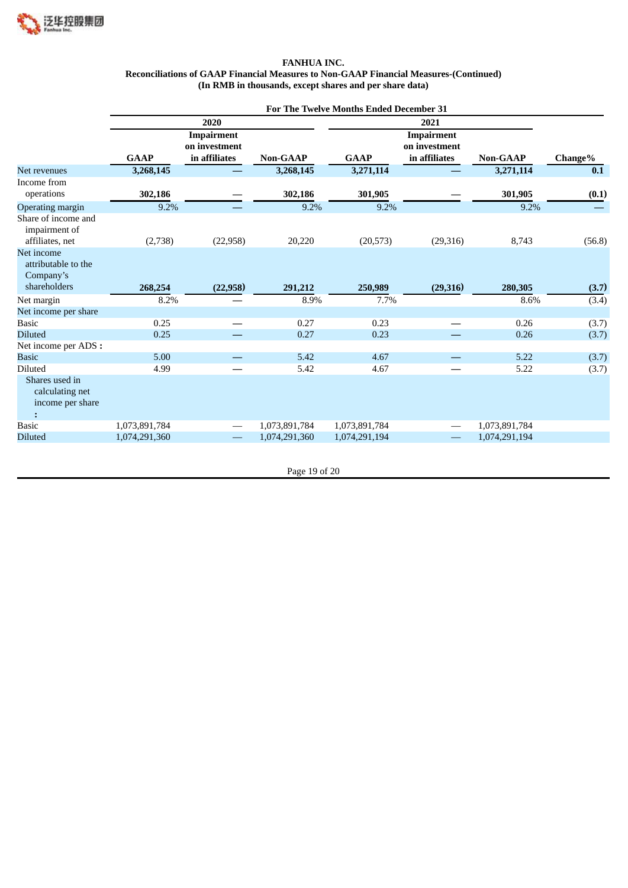

## **FANHUA INC. Reconciliations of GAAP Financial Measures to Non-GAAP Financial Measures-(Continued) (In RMB in thousands, except shares and per share data)**

|                                                                |               | For The Twelve Months Ended December 31      |                 |               |                                              |                 |         |  |  |
|----------------------------------------------------------------|---------------|----------------------------------------------|-----------------|---------------|----------------------------------------------|-----------------|---------|--|--|
|                                                                |               | 2020                                         |                 |               | 2021                                         |                 |         |  |  |
|                                                                | <b>GAAP</b>   | Impairment<br>on investment<br>in affiliates | <b>Non-GAAP</b> | <b>GAAP</b>   | Impairment<br>on investment<br>in affiliates | <b>Non-GAAP</b> | Change% |  |  |
| Net revenues                                                   | 3,268,145     |                                              | 3,268,145       | 3,271,114     |                                              | 3,271,114       | 0.1     |  |  |
| Income from<br>operations                                      | 302,186       |                                              | 302,186         | 301,905       |                                              | 301,905         | (0.1)   |  |  |
| Operating margin                                               | 9.2%          |                                              | 9.2%            | 9.2%          |                                              | 9.2%            |         |  |  |
| Share of income and<br>impairment of<br>affiliates, net        | (2,738)       | (22, 958)                                    | 20,220          | (20, 573)     | (29, 316)                                    | 8,743           | (56.8)  |  |  |
| Net income<br>attributable to the<br>Company's<br>shareholders | 268,254       | (22, 958)                                    | 291,212         | 250,989       | (29, 316)                                    | 280,305         |         |  |  |
|                                                                |               |                                              |                 |               |                                              |                 | (3.7)   |  |  |
| Net margin                                                     | 8.2%          |                                              | 8.9%            | 7.7%          |                                              | 8.6%            | (3.4)   |  |  |
| Net income per share<br><b>Basic</b>                           | 0.25          |                                              | 0.27            | 0.23          |                                              | 0.26            | (3.7)   |  |  |
| <b>Diluted</b>                                                 | 0.25          |                                              | 0.27            | 0.23          |                                              | 0.26            | (3.7)   |  |  |
| Net income per ADS :                                           |               |                                              |                 |               |                                              |                 |         |  |  |
| <b>Basic</b>                                                   | 5.00          |                                              | 5.42            | 4.67          |                                              | 5.22            | (3.7)   |  |  |
| Diluted                                                        | 4.99          |                                              | 5.42            | 4.67          |                                              | 5.22            | (3.7)   |  |  |
| Shares used in<br>calculating net<br>income per share          |               |                                              |                 |               |                                              |                 |         |  |  |
| <b>Basic</b>                                                   | 1,073,891,784 | $\overbrace{\phantom{13333}}$                | 1,073,891,784   | 1,073,891,784 |                                              | 1,073,891,784   |         |  |  |
| <b>Diluted</b>                                                 | 1,074,291,360 |                                              | 1,074,291,360   | 1,074,291,194 |                                              | 1,074,291,194   |         |  |  |
|                                                                |               |                                              |                 |               |                                              |                 |         |  |  |

Page 19 of 20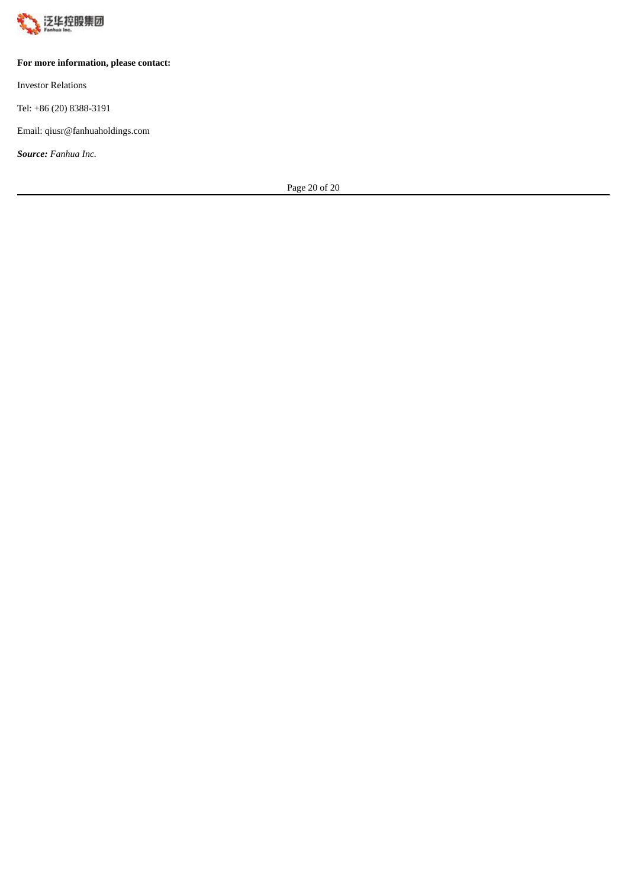

# **For more information, please contact:**

Investor Relations

Tel: +86 (20) 8388-3191

Email: qiusr@fanhuaholdings.com

*Source: Fanhua Inc.*

Page 20 of 20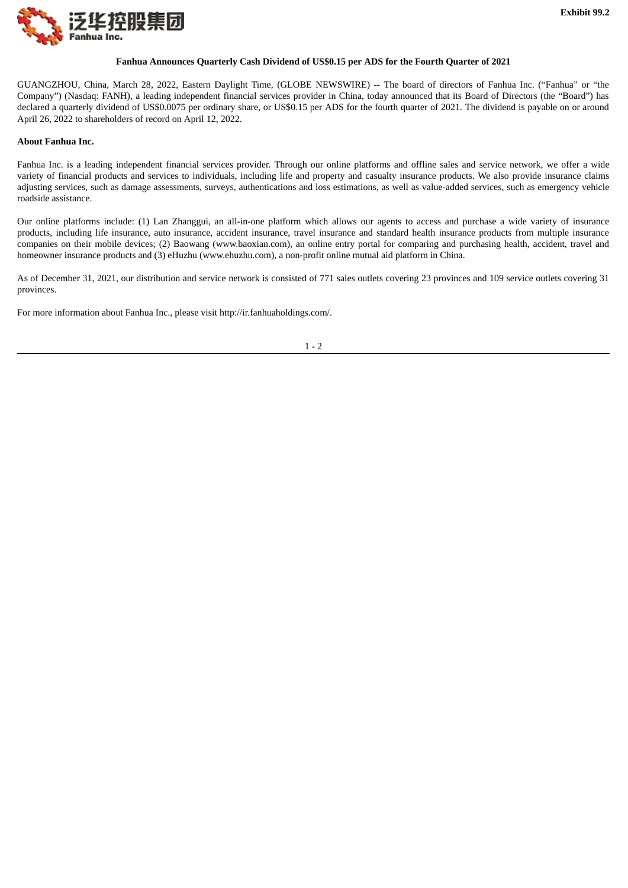<span id="page-23-0"></span>

#### **Fanhua Announces Quarterly Cash Dividend of US\$0.15 per ADS for the Fourth Quarter of 2021**

GUANGZHOU, China, March 28, 2022, Eastern Daylight Time, (GLOBE NEWSWIRE) -- The board of directors of Fanhua Inc. ("Fanhua" or "the Company") (Nasdaq: FANH), a leading independent financial services provider in China, today announced that its Board of Directors (the "Board") has declared a quarterly dividend of US\$0.0075 per ordinary share, or US\$0.15 per ADS for the fourth quarter of 2021. The dividend is payable on or around April 26, 2022 to shareholders of record on April 12, 2022.

#### **About Fanhua Inc.**

Fanhua Inc. is a leading independent financial services provider. Through our online platforms and offline sales and service network, we offer a wide variety of financial products and services to individuals, including life and property and casualty insurance products. We also provide insurance claims adjusting services, such as damage assessments, surveys, authentications and loss estimations, as well as value-added services, such as emergency vehicle roadside assistance.

Our online platforms include: (1) Lan Zhanggui, an all-in-one platform which allows our agents to access and purchase a wide variety of insurance products, including life insurance, auto insurance, accident insurance, travel insurance and standard health insurance products from multiple insurance companies on their mobile devices; (2) Baowang (www.baoxian.com), an online entry portal for comparing and purchasing health, accident, travel and homeowner insurance products and (3) eHuzhu (www.ehuzhu.com), a non-profit online mutual aid platform in China.

As of December 31, 2021, our distribution and service network is consisted of 771 sales outlets covering 23 provinces and 109 service outlets covering 31 provinces.

For more information about Fanhua Inc., please visit http://ir.fanhuaholdings.com/.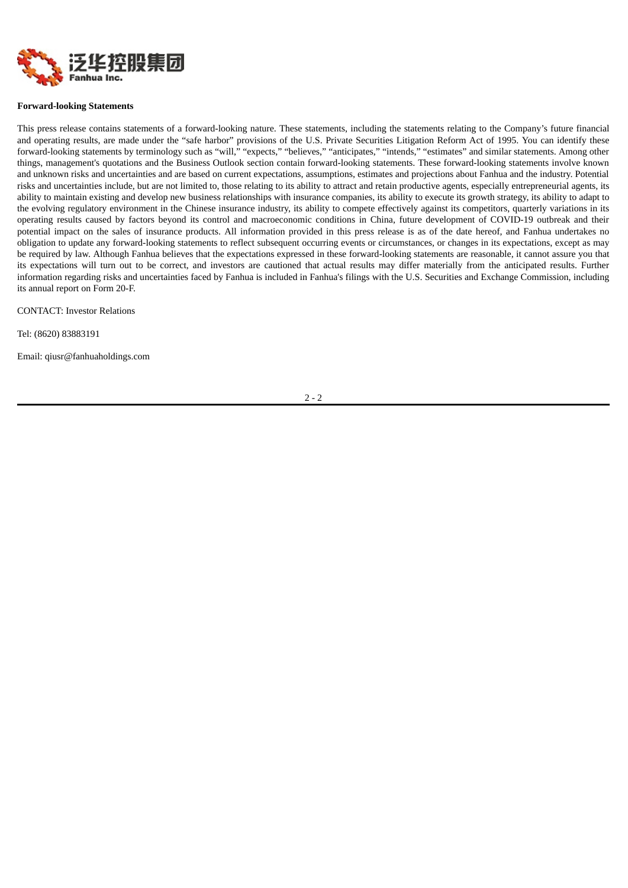

#### **Forward-looking Statements**

This press release contains statements of a forward-looking nature. These statements, including the statements relating to the Company's future financial and operating results, are made under the "safe harbor" provisions of the U.S. Private Securities Litigation Reform Act of 1995. You can identify these forward-looking statements by terminology such as "will," "expects," "believes," "anticipates," "intends," "estimates" and similar statements. Among other things, management's quotations and the Business Outlook section contain forward-looking statements. These forward-looking statements involve known and unknown risks and uncertainties and are based on current expectations, assumptions, estimates and projections about Fanhua and the industry. Potential risks and uncertainties include, but are not limited to, those relating to its ability to attract and retain productive agents, especially entrepreneurial agents, its ability to maintain existing and develop new business relationships with insurance companies, its ability to execute its growth strategy, its ability to adapt to the evolving regulatory environment in the Chinese insurance industry, its ability to compete effectively against its competitors, quarterly variations in its operating results caused by factors beyond its control and macroeconomic conditions in China, future development of COVID-19 outbreak and their potential impact on the sales of insurance products. All information provided in this press release is as of the date hereof, and Fanhua undertakes no obligation to update any forward-looking statements to reflect subsequent occurring events or circumstances, or changes in its expectations, except as may be required by law. Although Fanhua believes that the expectations expressed in these forward-looking statements are reasonable, it cannot assure you that its expectations will turn out to be correct, and investors are cautioned that actual results may differ materially from the anticipated results. Further information regarding risks and uncertainties faced by Fanhua is included in Fanhua's filings with the U.S. Securities and Exchange Commission, including its annual report on Form 20-F.

CONTACT: Investor Relations

Tel: (8620) 83883191

Email: qiusr@fanhuaholdings.com

2 - 2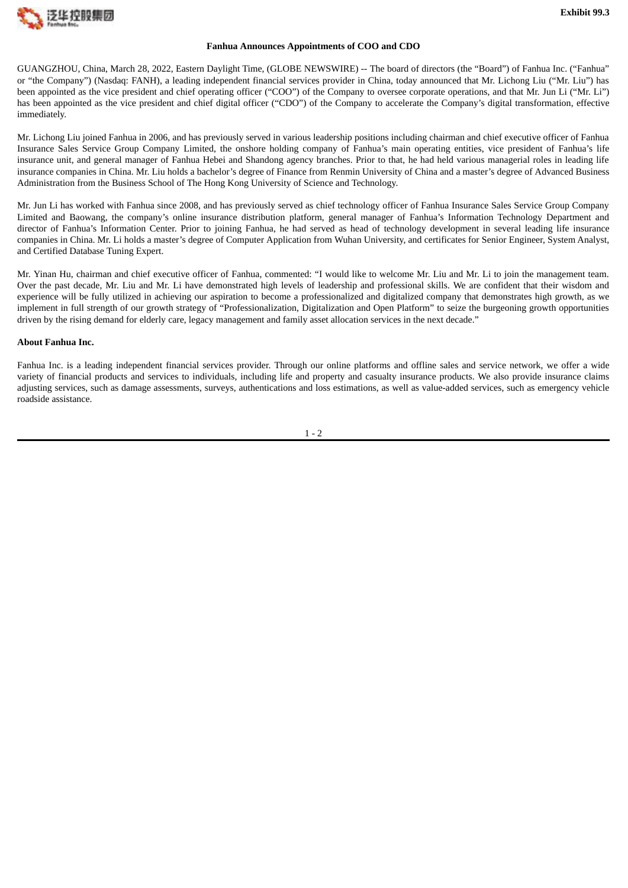<span id="page-25-0"></span>

## **Fanhua Announces Appointments of COO and CDO**

GUANGZHOU, China, March 28, 2022, Eastern Daylight Time, (GLOBE NEWSWIRE) -- The board of directors (the "Board") of Fanhua Inc. ("Fanhua" or "the Company") (Nasdaq: FANH), a leading independent financial services provider in China, today announced that Mr. Lichong Liu ("Mr. Liu") has been appointed as the vice president and chief operating officer ("COO") of the Company to oversee corporate operations, and that Mr. Jun Li ("Mr. Li") has been appointed as the vice president and chief digital officer ("CDO") of the Company to accelerate the Company's digital transformation, effective immediately.

Mr. Lichong Liu joined Fanhua in 2006, and has previously served in various leadership positions including chairman and chief executive officer of Fanhua Insurance Sales Service Group Company Limited, the onshore holding company of Fanhua's main operating entities, vice president of Fanhua's life insurance unit, and general manager of Fanhua Hebei and Shandong agency branches. Prior to that, he had held various managerial roles in leading life insurance companies in China. Mr. Liu holds a bachelor's degree of Finance from Renmin University of China and a master's degree of Advanced Business Administration from the Business School of The Hong Kong University of Science and Technology.

Mr. Jun Li has worked with Fanhua since 2008, and has previously served as chief technology officer of Fanhua Insurance Sales Service Group Company Limited and Baowang, the company's online insurance distribution platform, general manager of Fanhua's Information Technology Department and director of Fanhua's Information Center. Prior to joining Fanhua, he had served as head of technology development in several leading life insurance companies in China. Mr. Li holds a master's degree of Computer Application from Wuhan University, and certificates for Senior Engineer, System Analyst, and Certified Database Tuning Expert.

Mr. Yinan Hu, chairman and chief executive officer of Fanhua, commented: "I would like to welcome Mr. Liu and Mr. Li to join the management team. Over the past decade, Mr. Liu and Mr. Li have demonstrated high levels of leadership and professional skills. We are confident that their wisdom and experience will be fully utilized in achieving our aspiration to become a professionalized and digitalized company that demonstrates high growth, as we implement in full strength of our growth strategy of "Professionalization, Digitalization and Open Platform" to seize the burgeoning growth opportunities driven by the rising demand for elderly care, legacy management and family asset allocation services in the next decade."

#### **About Fanhua Inc.**

Fanhua Inc. is a leading independent financial services provider. Through our online platforms and offline sales and service network, we offer a wide variety of financial products and services to individuals, including life and property and casualty insurance products. We also provide insurance claims adjusting services, such as damage assessments, surveys, authentications and loss estimations, as well as value-added services, such as emergency vehicle roadside assistance.